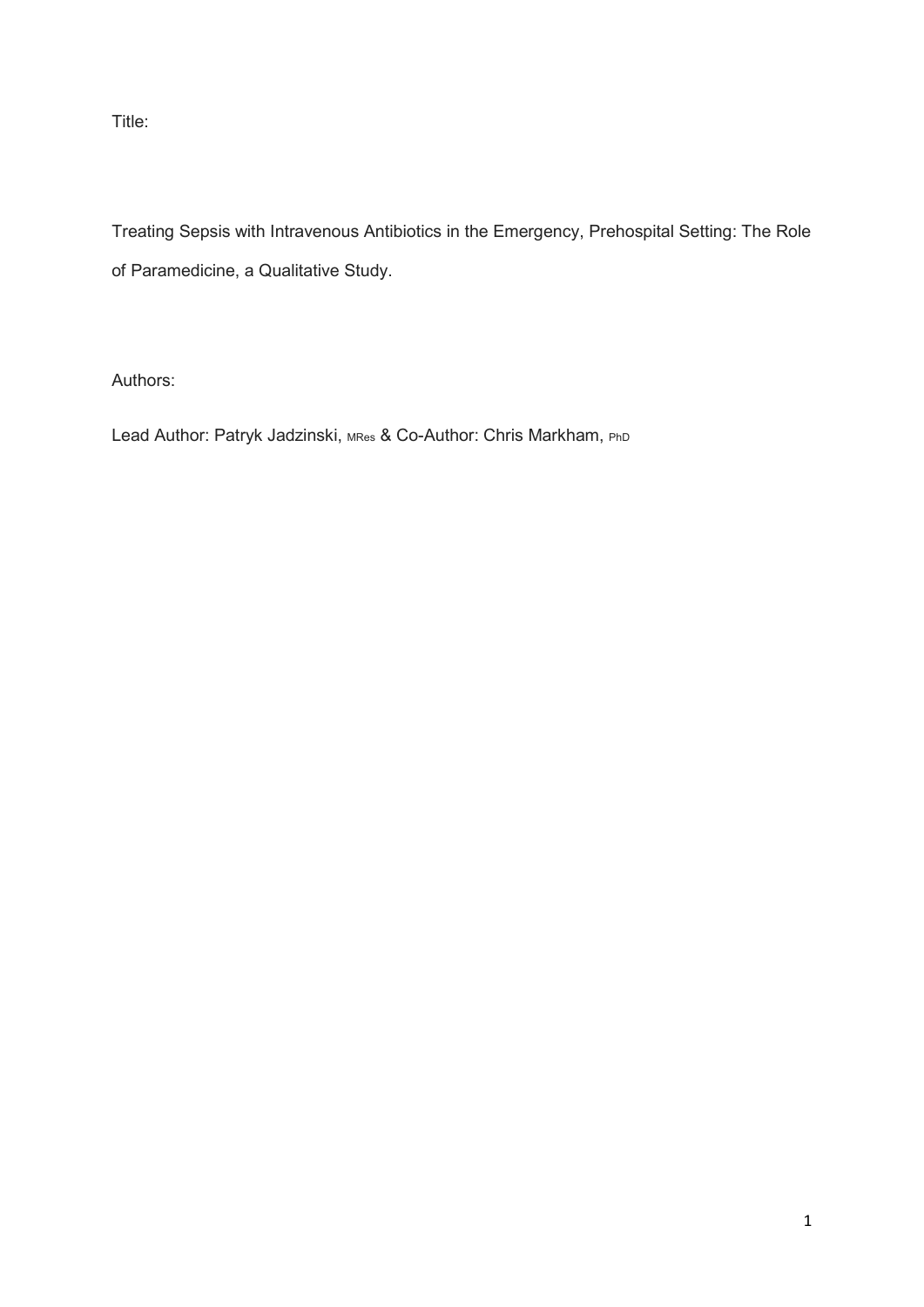Title:

Treating Sepsis with Intravenous Antibiotics in the Emergency, Prehospital Setting: The Role of Paramedicine, a Qualitative Study.

Authors:

Lead Author: Patryk Jadzinski, MRes & Co-Author: Chris Markham, PhD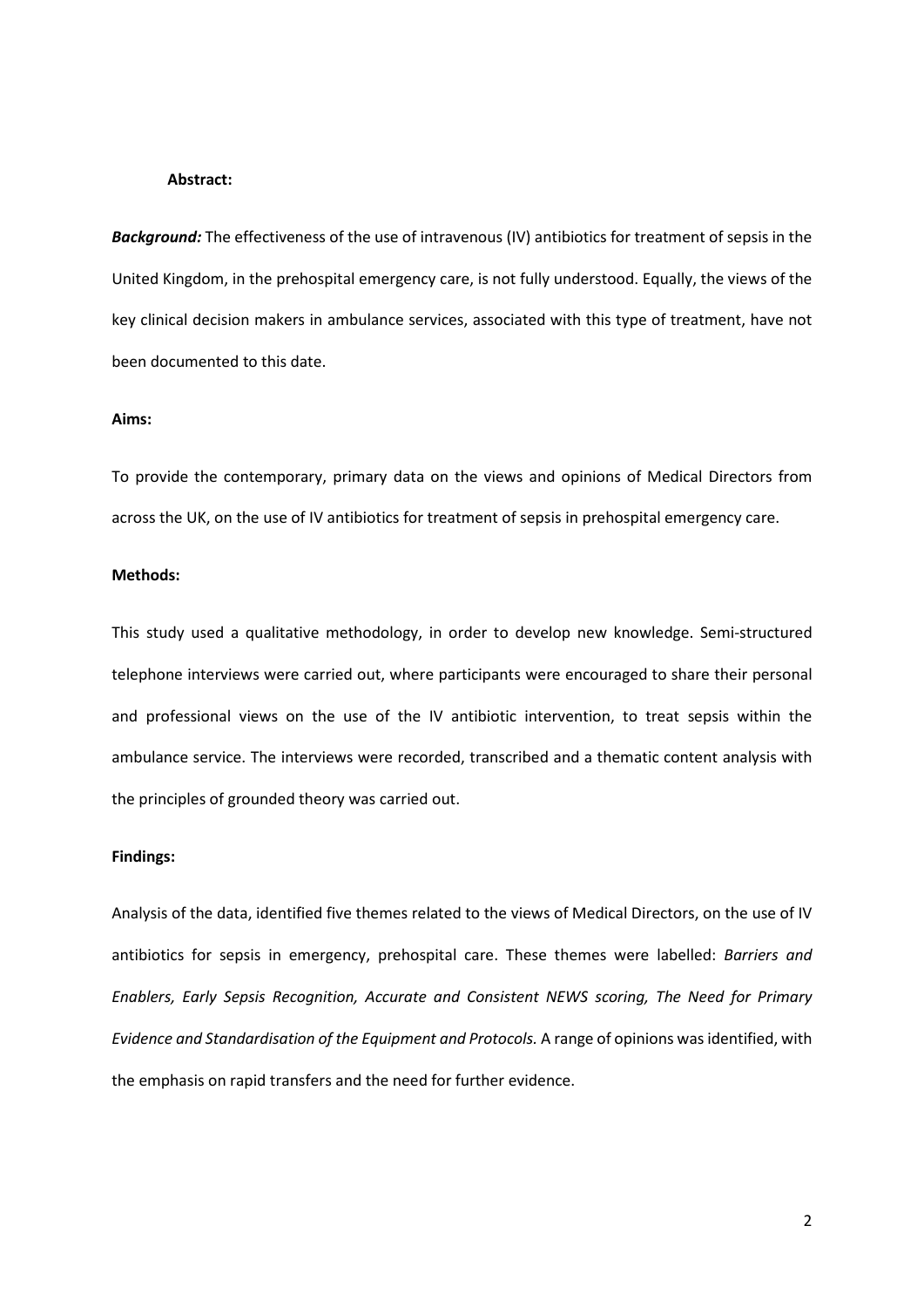## **Abstract:**

*Background:* The effectiveness of the use of intravenous (IV) antibiotics for treatment of sepsis in the United Kingdom, in the prehospital emergency care, is not fully understood. Equally, the views of the key clinical decision makers in ambulance services, associated with this type of treatment, have not been documented to this date.

# **Aims:**

To provide the contemporary, primary data on the views and opinions of Medical Directors from across the UK, on the use of IV antibiotics for treatment of sepsis in prehospital emergency care.

## **Methods:**

This study used a qualitative methodology, in order to develop new knowledge. Semi-structured telephone interviews were carried out, where participants were encouraged to share their personal and professional views on the use of the IV antibiotic intervention, to treat sepsis within the ambulance service. The interviews were recorded, transcribed and a thematic content analysis with the principles of grounded theory was carried out.

## **Findings:**

Analysis of the data, identified five themes related to the views of Medical Directors, on the use of IV antibiotics for sepsis in emergency, prehospital care. These themes were labelled: *Barriers and Enablers, Early Sepsis Recognition, Accurate and Consistent NEWS scoring, The Need for Primary Evidence and Standardisation of the Equipment and Protocols.* A range of opinions was identified, with the emphasis on rapid transfers and the need for further evidence.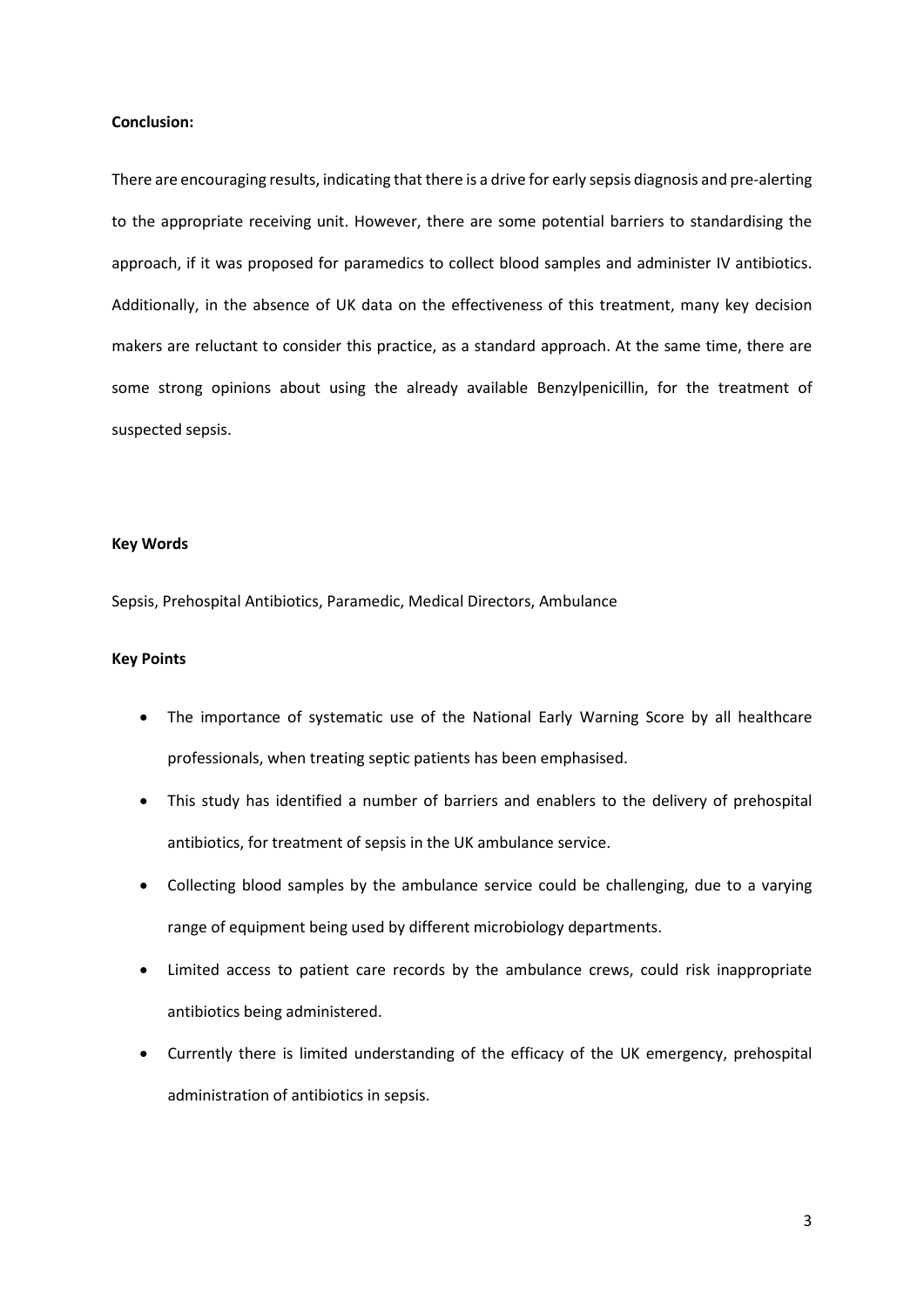## **Conclusion:**

There are encouraging results, indicating that there is a drive for early sepsis diagnosis and pre-alerting to the appropriate receiving unit. However, there are some potential barriers to standardising the approach, if it was proposed for paramedics to collect blood samples and administer IV antibiotics. Additionally, in the absence of UK data on the effectiveness of this treatment, many key decision makers are reluctant to consider this practice, as a standard approach. At the same time, there are some strong opinions about using the already available Benzylpenicillin, for the treatment of suspected sepsis.

## **Key Words**

Sepsis, Prehospital Antibiotics, Paramedic, Medical Directors, Ambulance

## **Key Points**

- The importance of systematic use of the National Early Warning Score by all healthcare professionals, when treating septic patients has been emphasised.
- This study has identified a number of barriers and enablers to the delivery of prehospital antibiotics, for treatment of sepsis in the UK ambulance service.
- Collecting blood samples by the ambulance service could be challenging, due to a varying range of equipment being used by different microbiology departments.
- Limited access to patient care records by the ambulance crews, could risk inappropriate antibiotics being administered.
- Currently there is limited understanding of the efficacy of the UK emergency, prehospital administration of antibiotics in sepsis.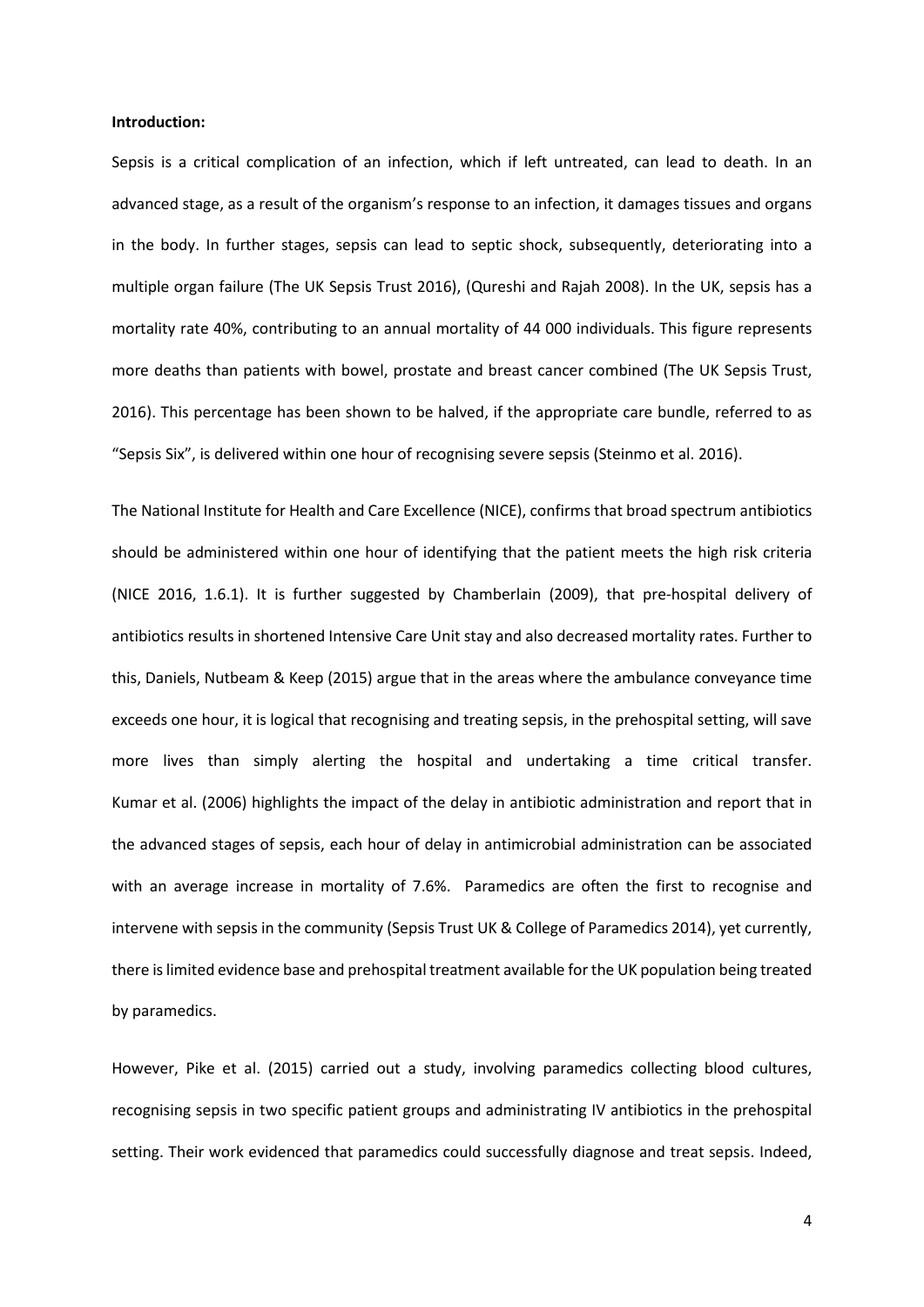#### **Introduction:**

Sepsis is a critical complication of an infection, which if left untreated, can lead to death. In an advanced stage, as a result of the organism's response to an infection, it damages tissues and organs in the body. In further stages, sepsis can lead to septic shock, subsequently, deteriorating into a multiple organ failure (The UK Sepsis Trust 2016), (Qureshi and Rajah 2008). In the UK, sepsis has a mortality rate 40%, contributing to an annual mortality of 44 000 individuals. This figure represents more deaths than patients with bowel, prostate and breast cancer combined (The UK Sepsis Trust, 2016). This percentage has been shown to be halved, if the appropriate care bundle, referred to as "Sepsis Six", is delivered within one hour of recognising severe sepsis (Steinmo et al. 2016).

The National Institute for Health and Care Excellence (NICE), confirms that broad spectrum antibiotics should be administered within one hour of identifying that the patient meets the high risk criteria (NICE 2016, 1.6.1). It is further suggested by Chamberlain (2009), that pre-hospital delivery of antibiotics results in shortened Intensive Care Unit stay and also decreased mortality rates. Further to this, Daniels, Nutbeam & Keep (2015) argue that in the areas where the ambulance conveyance time exceeds one hour, it is logical that recognising and treating sepsis, in the prehospital setting, will save more lives than simply alerting the hospital and undertaking a time critical transfer. Kumar et al. (2006) highlights the impact of the delay in antibiotic administration and report that in the advanced stages of sepsis, each hour of delay in antimicrobial administration can be associated with an average increase in mortality of 7.6%. Paramedics are often the first to recognise and intervene with sepsis in the community (Sepsis Trust UK & College of Paramedics 2014), yet currently, there islimited evidence base and prehospital treatment available for the UK population being treated by paramedics.

However, Pike et al. (2015) carried out a study, involving paramedics collecting blood cultures, recognising sepsis in two specific patient groups and administrating IV antibiotics in the prehospital setting. Their work evidenced that paramedics could successfully diagnose and treat sepsis. Indeed,

4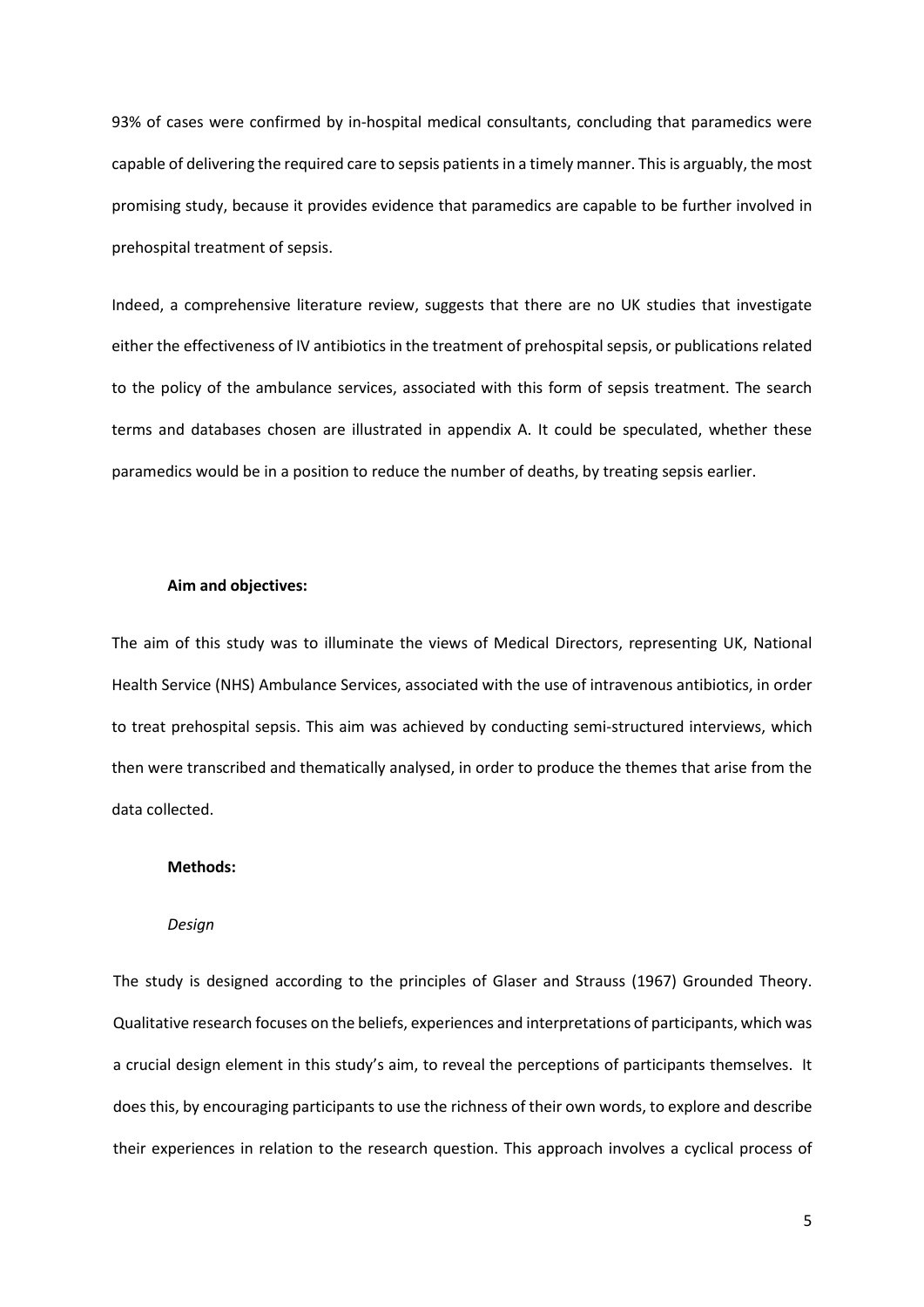93% of cases were confirmed by in-hospital medical consultants, concluding that paramedics were capable of delivering the required care to sepsis patients in a timely manner. This is arguably, the most promising study, because it provides evidence that paramedics are capable to be further involved in prehospital treatment of sepsis.

Indeed, a comprehensive literature review, suggests that there are no UK studies that investigate either the effectiveness of IV antibiotics in the treatment of prehospital sepsis, or publications related to the policy of the ambulance services, associated with this form of sepsis treatment. The search terms and databases chosen are illustrated in appendix A. It could be speculated, whether these paramedics would be in a position to reduce the number of deaths, by treating sepsis earlier.

## **Aim and objectives:**

The aim of this study was to illuminate the views of Medical Directors, representing UK, National Health Service (NHS) Ambulance Services, associated with the use of intravenous antibiotics, in order to treat prehospital sepsis. This aim was achieved by conducting semi-structured interviews, which then were transcribed and thematically analysed, in order to produce the themes that arise from the data collected.

#### **Methods:**

## *Design*

The study is designed according to the principles of Glaser and Strauss (1967) Grounded Theory. Qualitative research focuses on the beliefs, experiences and interpretations of participants, which was a crucial design element in this study's aim, to reveal the perceptions of participants themselves. It does this, by encouraging participants to use the richness of their own words, to explore and describe their experiences in relation to the research question. This approach involves a cyclical process of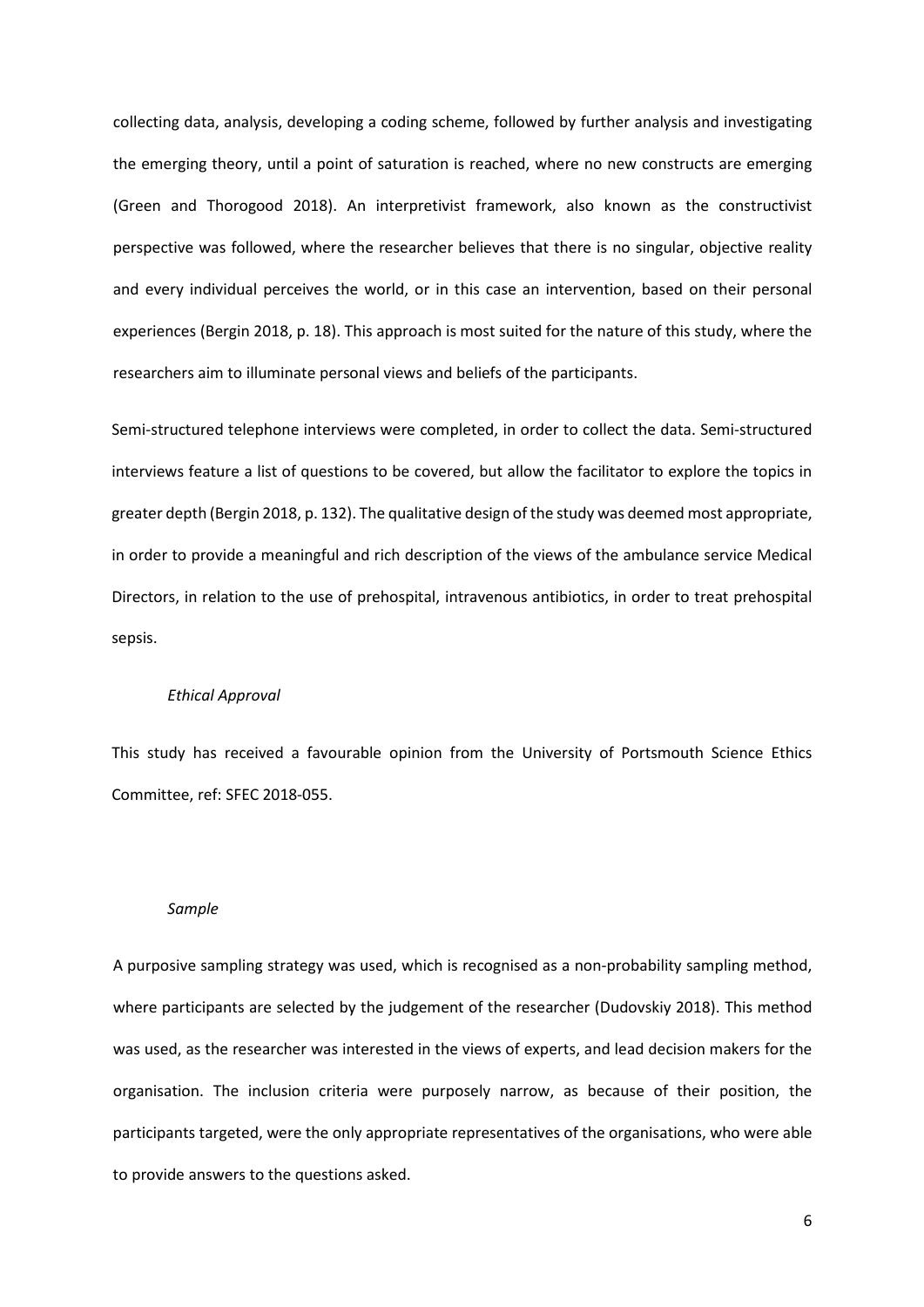collecting data, analysis, developing a coding scheme, followed by further analysis and investigating the emerging theory, until a point of saturation is reached, where no new constructs are emerging (Green and Thorogood 2018). An interpretivist framework, also known as the constructivist perspective was followed, where the researcher believes that there is no singular, objective reality and every individual perceives the world, or in this case an intervention, based on their personal experiences (Bergin 2018, p. 18). This approach is most suited for the nature of this study, where the researchers aim to illuminate personal views and beliefs of the participants.

Semi-structured telephone interviews were completed, in order to collect the data. Semi-structured interviews feature a list of questions to be covered, but allow the facilitator to explore the topics in greater depth (Bergin 2018, p. 132). The qualitative design of the study was deemed most appropriate, in order to provide a meaningful and rich description of the views of the ambulance service Medical Directors, in relation to the use of prehospital, intravenous antibiotics, in order to treat prehospital sepsis.

#### *Ethical Approval*

This study has received a favourable opinion from the University of Portsmouth Science Ethics Committee, ref: SFEC 2018-055.

#### *Sample*

A purposive sampling strategy was used, which is recognised as a non-probability sampling method, where participants are selected by the judgement of the researcher (Dudovskiy 2018). This method was used, as the researcher was interested in the views of experts, and lead decision makers for the organisation. The inclusion criteria were purposely narrow, as because of their position, the participants targeted, were the only appropriate representatives of the organisations, who were able to provide answers to the questions asked.

6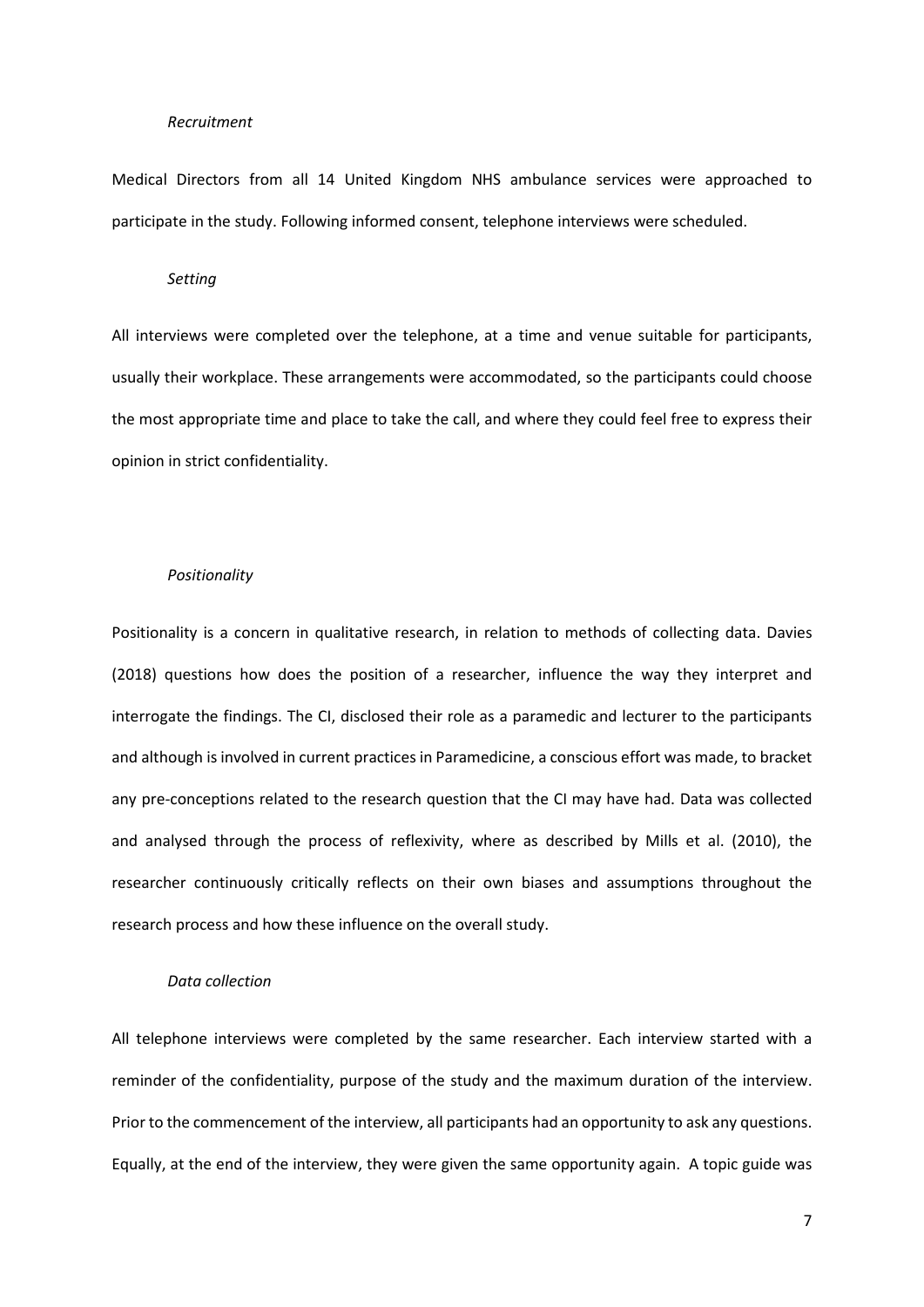#### *Recruitment*

Medical Directors from all 14 United Kingdom NHS ambulance services were approached to participate in the study. Following informed consent, telephone interviews were scheduled.

## *Setting*

All interviews were completed over the telephone, at a time and venue suitable for participants, usually their workplace. These arrangements were accommodated, so the participants could choose the most appropriate time and place to take the call, and where they could feel free to express their opinion in strict confidentiality.

#### *Positionality*

Positionality is a concern in qualitative research, in relation to methods of collecting data. Davies (2018) questions how does the position of a researcher, influence the way they interpret and interrogate the findings. The CI, disclosed their role as a paramedic and lecturer to the participants and although is involved in current practices in Paramedicine, a conscious effort was made, to bracket any pre-conceptions related to the research question that the CI may have had. Data was collected and analysed through the process of reflexivity, where as described by Mills et al. (2010), the researcher continuously critically reflects on their own biases and assumptions throughout the research process and how these influence on the overall study.

# *Data collection*

All telephone interviews were completed by the same researcher. Each interview started with a reminder of the confidentiality, purpose of the study and the maximum duration of the interview. Prior to the commencement of the interview, all participants had an opportunity to ask any questions. Equally, at the end of the interview, they were given the same opportunity again. A topic guide was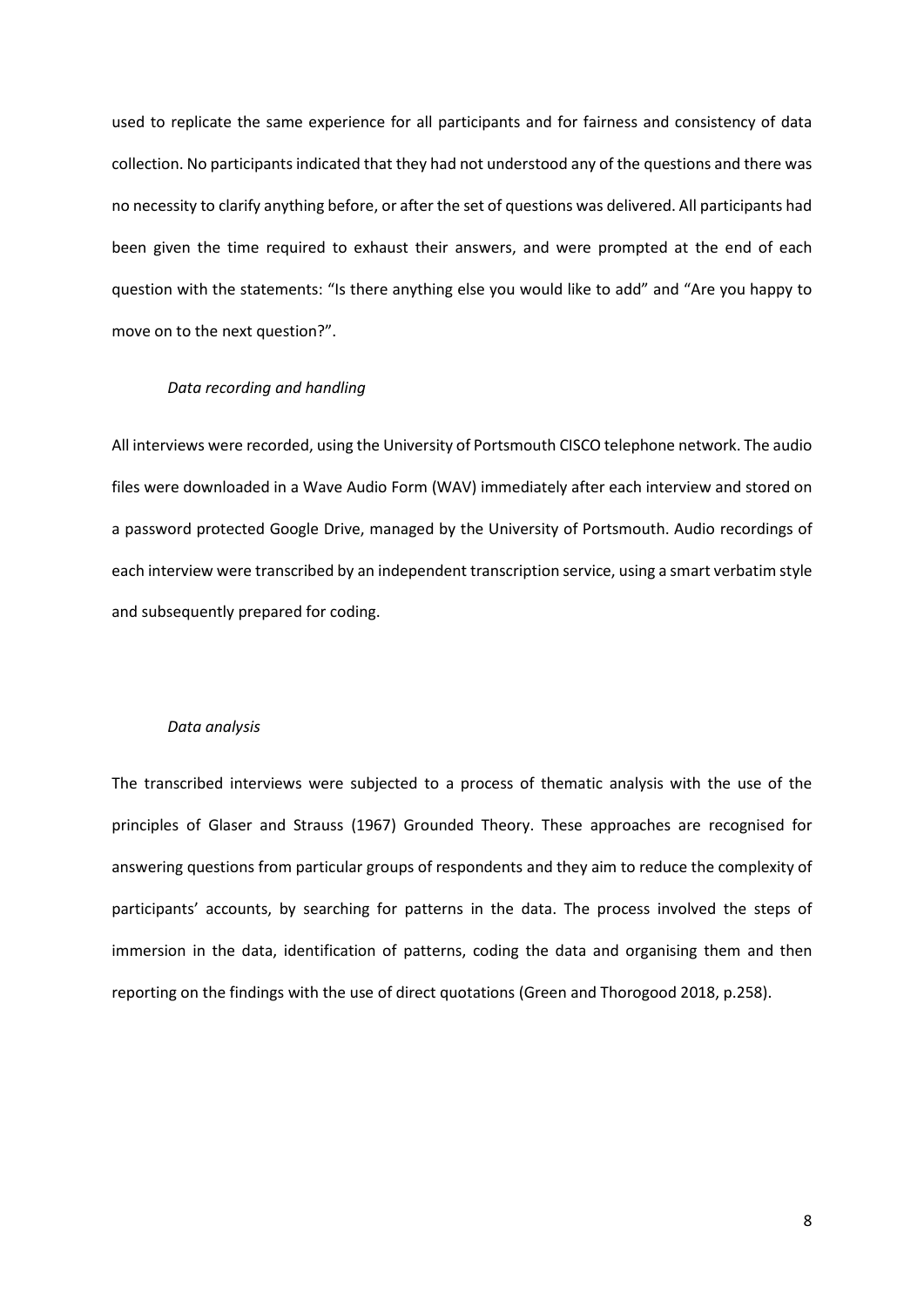used to replicate the same experience for all participants and for fairness and consistency of data collection. No participants indicated that they had not understood any of the questions and there was no necessity to clarify anything before, or after the set of questions was delivered. All participants had been given the time required to exhaust their answers, and were prompted at the end of each question with the statements: "Is there anything else you would like to add" and "Are you happy to move on to the next question?".

#### *Data recording and handling*

All interviews were recorded, using the University of Portsmouth CISCO telephone network. The audio files were downloaded in a Wave Audio Form (WAV) immediately after each interview and stored on a password protected Google Drive, managed by the University of Portsmouth. Audio recordings of each interview were transcribed by an independent transcription service, using a smart verbatim style and subsequently prepared for coding.

#### *Data analysis*

The transcribed interviews were subjected to a process of thematic analysis with the use of the principles of Glaser and Strauss (1967) Grounded Theory. These approaches are recognised for answering questions from particular groups of respondents and they aim to reduce the complexity of participants' accounts, by searching for patterns in the data. The process involved the steps of immersion in the data, identification of patterns, coding the data and organising them and then reporting on the findings with the use of direct quotations (Green and Thorogood 2018, p.258).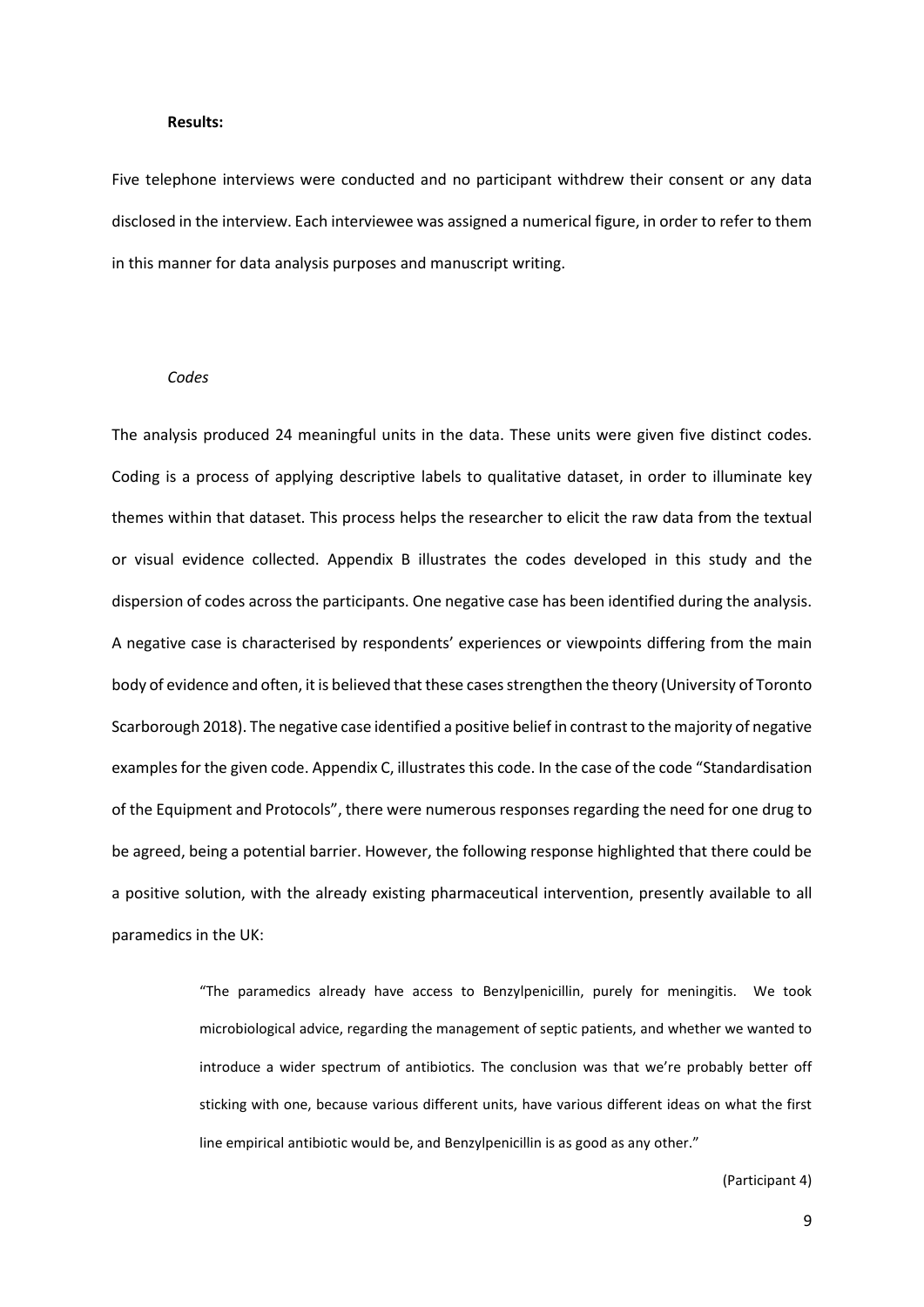#### **Results:**

Five telephone interviews were conducted and no participant withdrew their consent or any data disclosed in the interview. Each interviewee was assigned a numerical figure, in order to refer to them in this manner for data analysis purposes and manuscript writing.

#### *Codes*

The analysis produced 24 meaningful units in the data. These units were given five distinct codes. Coding is a process of applying descriptive labels to qualitative dataset, in order to illuminate key themes within that dataset. This process helps the researcher to elicit the raw data from the textual or visual evidence collected. Appendix B illustrates the codes developed in this study and the dispersion of codes across the participants. One negative case has been identified during the analysis. A negative case is characterised by respondents' experiences or viewpoints differing from the main body of evidence and often, it is believed that these cases strengthen the theory (University of Toronto Scarborough 2018). The negative case identified a positive belief in contrast to the majority of negative examples for the given code. Appendix C, illustrates this code. In the case of the code "Standardisation of the Equipment and Protocols", there were numerous responses regarding the need for one drug to be agreed, being a potential barrier. However, the following response highlighted that there could be a positive solution, with the already existing pharmaceutical intervention, presently available to all paramedics in the UK:

> "The paramedics already have access to Benzylpenicillin, purely for meningitis. We took microbiological advice, regarding the management of septic patients, and whether we wanted to introduce a wider spectrum of antibiotics. The conclusion was that we're probably better off sticking with one, because various different units, have various different ideas on what the first line empirical antibiotic would be, and Benzylpenicillin is as good as any other."

> > (Participant 4)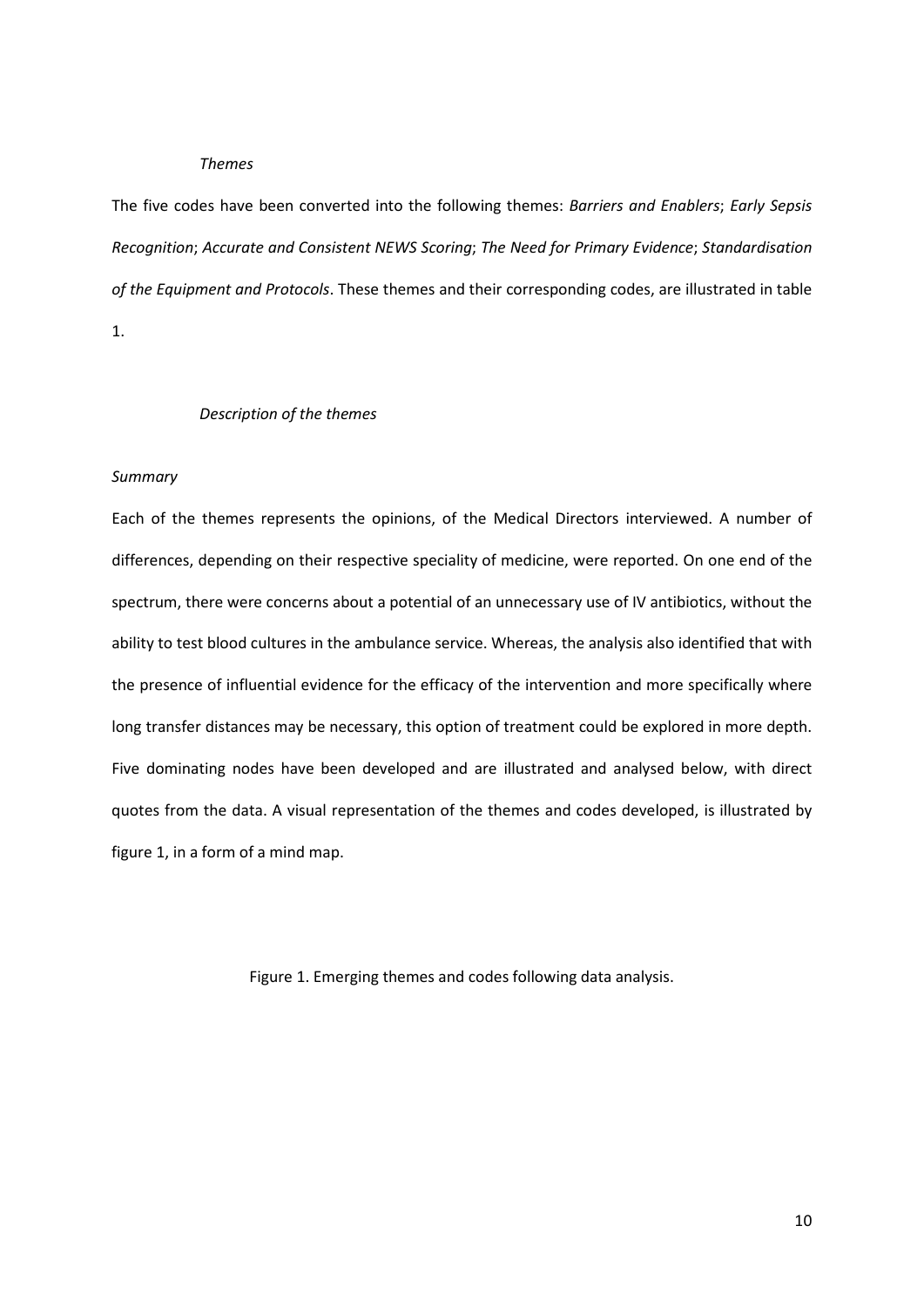#### *Themes*

The five codes have been converted into the following themes: *Barriers and Enablers*; *Early Sepsis Recognition*; *Accurate and Consistent NEWS Scoring*; *The Need for Primary Evidence*; *Standardisation of the Equipment and Protocols*. These themes and their corresponding codes, are illustrated in table 1.

## *Description of the themes*

#### *Summary*

Each of the themes represents the opinions, of the Medical Directors interviewed. A number of differences, depending on their respective speciality of medicine, were reported. On one end of the spectrum, there were concerns about a potential of an unnecessary use of IV antibiotics, without the ability to test blood cultures in the ambulance service. Whereas, the analysis also identified that with the presence of influential evidence for the efficacy of the intervention and more specifically where long transfer distances may be necessary, this option of treatment could be explored in more depth. Five dominating nodes have been developed and are illustrated and analysed below, with direct quotes from the data. A visual representation of the themes and codes developed, is illustrated by figure 1, in a form of a mind map.

Figure 1. Emerging themes and codes following data analysis.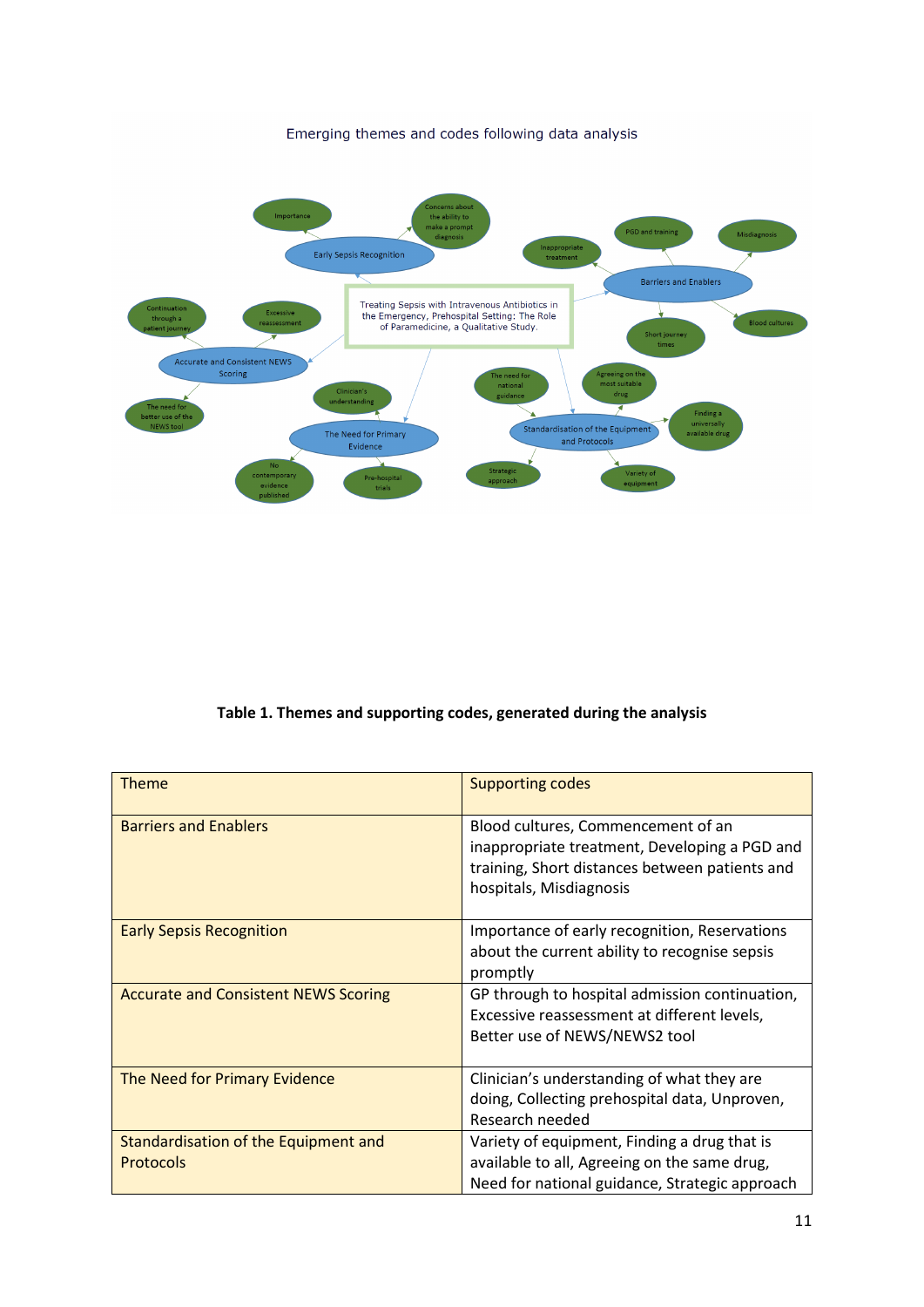Emerging themes and codes following data analysis



**Table 1. Themes and supporting codes, generated during the analysis**

| <b>Theme</b>                                             | <b>Supporting codes</b>                                                                                                                                          |
|----------------------------------------------------------|------------------------------------------------------------------------------------------------------------------------------------------------------------------|
| <b>Barriers and Enablers</b>                             | Blood cultures, Commencement of an<br>inappropriate treatment, Developing a PGD and<br>training, Short distances between patients and<br>hospitals, Misdiagnosis |
| <b>Early Sepsis Recognition</b>                          | Importance of early recognition, Reservations<br>about the current ability to recognise sepsis<br>promptly                                                       |
| <b>Accurate and Consistent NEWS Scoring</b>              | GP through to hospital admission continuation,<br>Excessive reassessment at different levels,<br>Better use of NEWS/NEWS2 tool                                   |
| The Need for Primary Evidence                            | Clinician's understanding of what they are<br>doing, Collecting prehospital data, Unproven,<br>Research needed                                                   |
| Standardisation of the Equipment and<br><b>Protocols</b> | Variety of equipment, Finding a drug that is<br>available to all, Agreeing on the same drug,<br>Need for national guidance, Strategic approach                   |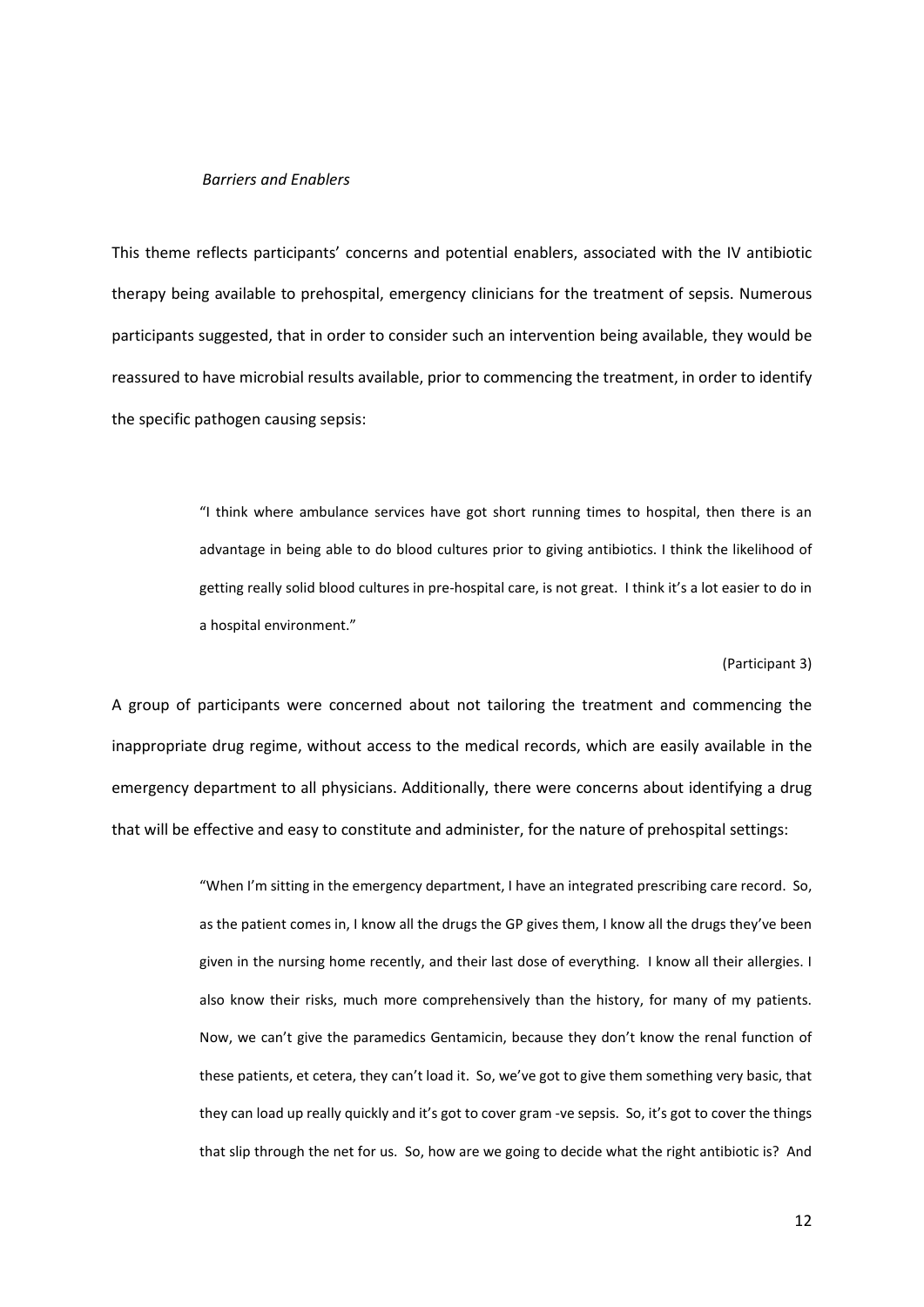# *Barriers and Enablers*

This theme reflects participants' concerns and potential enablers, associated with the IV antibiotic therapy being available to prehospital, emergency clinicians for the treatment of sepsis. Numerous participants suggested, that in order to consider such an intervention being available, they would be reassured to have microbial results available, prior to commencing the treatment, in order to identify the specific pathogen causing sepsis:

> "I think where ambulance services have got short running times to hospital, then there is an advantage in being able to do blood cultures prior to giving antibiotics. I think the likelihood of getting really solid blood cultures in pre-hospital care, is not great. I think it's a lot easier to do in a hospital environment."

#### (Participant 3)

A group of participants were concerned about not tailoring the treatment and commencing the inappropriate drug regime, without access to the medical records, which are easily available in the emergency department to all physicians. Additionally, there were concerns about identifying a drug that will be effective and easy to constitute and administer, for the nature of prehospital settings:

> "When I'm sitting in the emergency department, I have an integrated prescribing care record. So, as the patient comes in, I know all the drugs the GP gives them, I know all the drugs they've been given in the nursing home recently, and their last dose of everything. I know all their allergies. I also know their risks, much more comprehensively than the history, for many of my patients. Now, we can't give the paramedics Gentamicin, because they don't know the renal function of these patients, et cetera, they can't load it. So, we've got to give them something very basic, that they can load up really quickly and it's got to cover gram -ve sepsis. So, it's got to cover the things that slip through the net for us. So, how are we going to decide what the right antibiotic is? And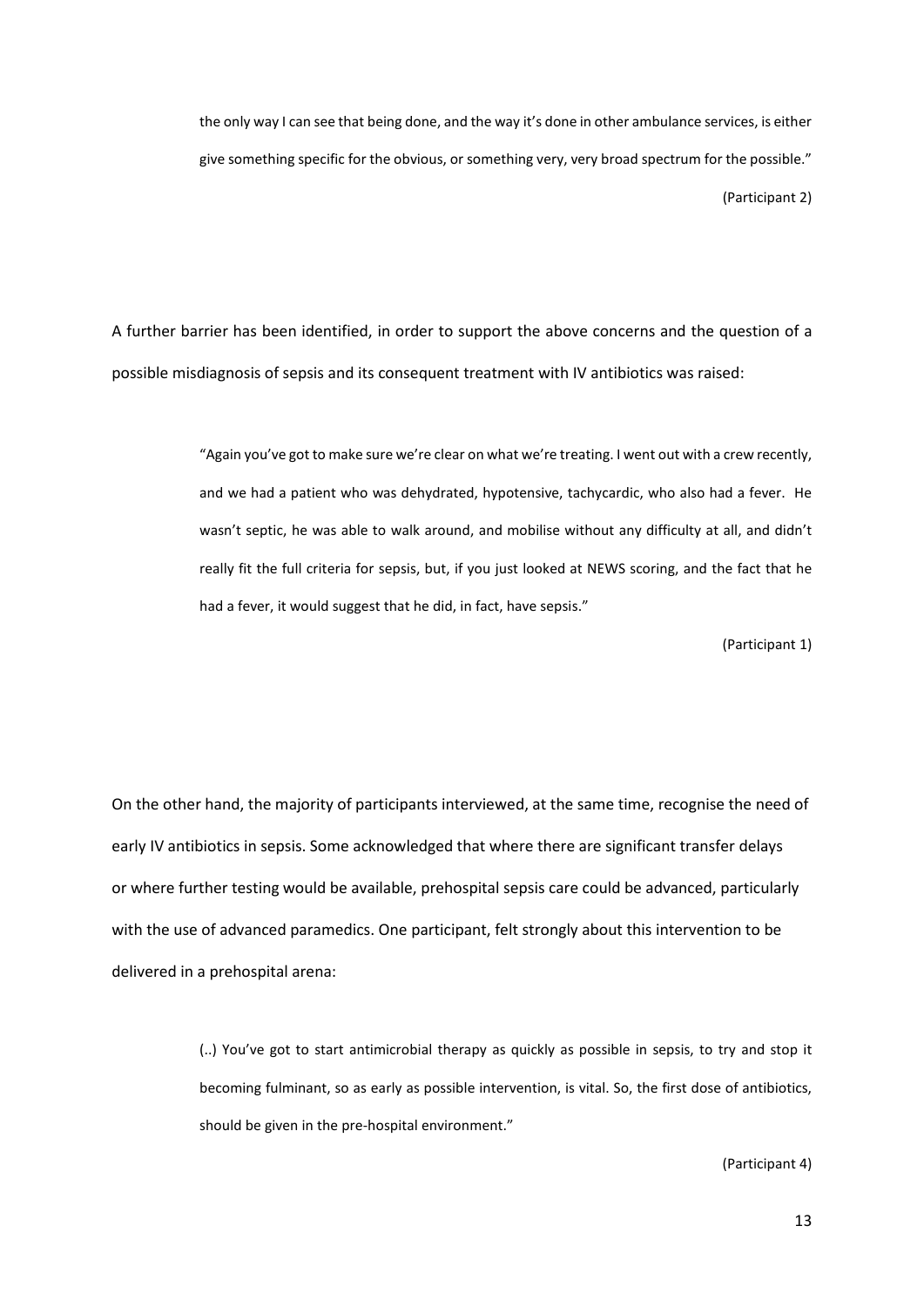the only way I can see that being done, and the way it's done in other ambulance services, is either give something specific for the obvious, or something very, very broad spectrum for the possible." (Participant 2)

A further barrier has been identified, in order to support the above concerns and the question of a possible misdiagnosis of sepsis and its consequent treatment with IV antibiotics was raised:

> "Again you've got to make sure we're clear on what we're treating. I went out with a crew recently, and we had a patient who was dehydrated, hypotensive, tachycardic, who also had a fever. He wasn't septic, he was able to walk around, and mobilise without any difficulty at all, and didn't really fit the full criteria for sepsis, but, if you just looked at NEWS scoring, and the fact that he had a fever, it would suggest that he did, in fact, have sepsis."

> > (Participant 1)

On the other hand, the majority of participants interviewed, at the same time, recognise the need of early IV antibiotics in sepsis. Some acknowledged that where there are significant transfer delays or where further testing would be available, prehospital sepsis care could be advanced, particularly with the use of advanced paramedics. One participant, felt strongly about this intervention to be delivered in a prehospital arena:

> (..) You've got to start antimicrobial therapy as quickly as possible in sepsis, to try and stop it becoming fulminant, so as early as possible intervention, is vital. So, the first dose of antibiotics, should be given in the pre-hospital environment."

> > (Participant 4)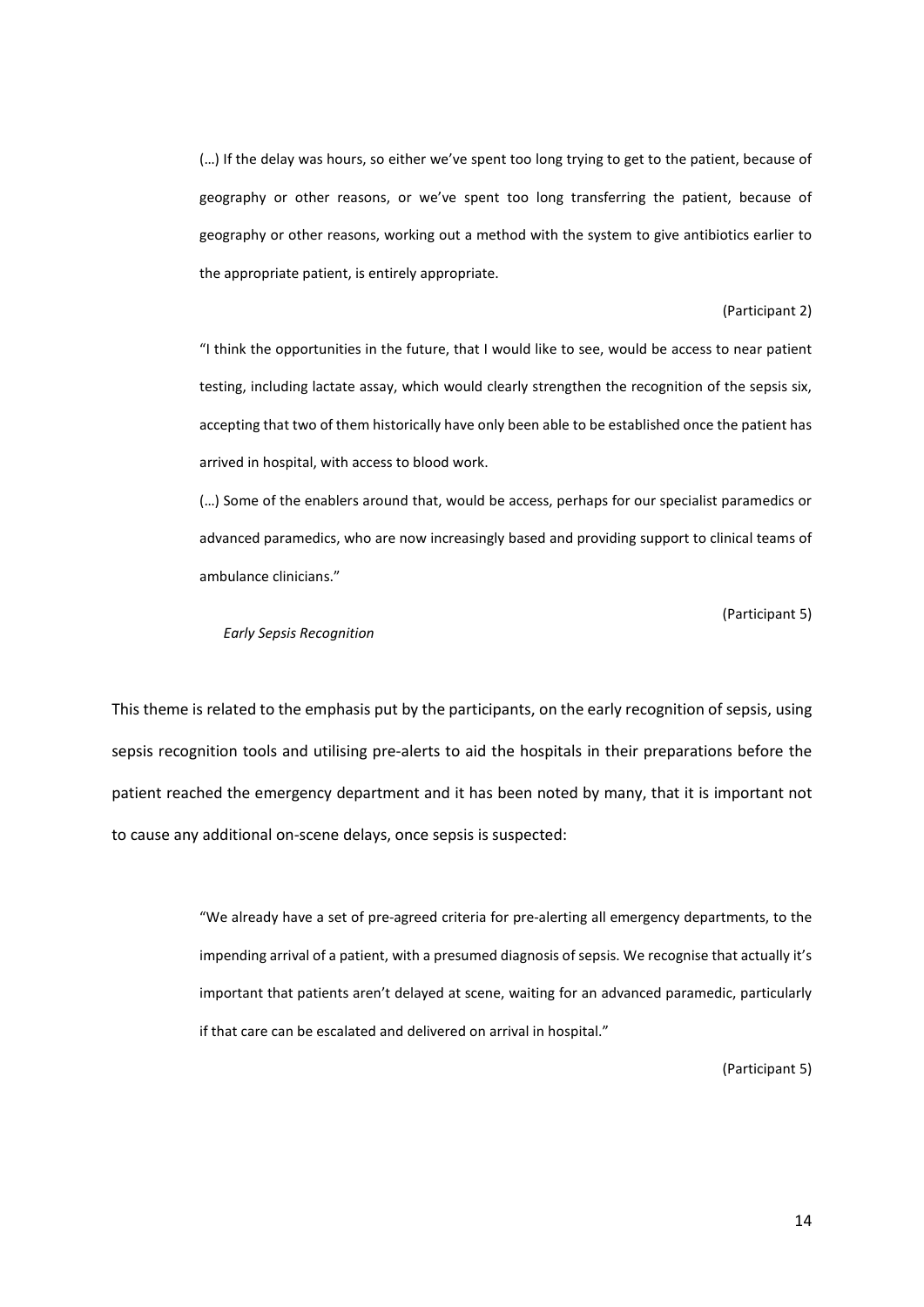(…) If the delay was hours, so either we've spent too long trying to get to the patient, because of geography or other reasons, or we've spent too long transferring the patient, because of geography or other reasons, working out a method with the system to give antibiotics earlier to the appropriate patient, is entirely appropriate.

#### (Participant 2)

"I think the opportunities in the future, that I would like to see, would be access to near patient testing, including lactate assay, which would clearly strengthen the recognition of the sepsis six, accepting that two of them historically have only been able to be established once the patient has arrived in hospital, with access to blood work.

(…) Some of the enablers around that, would be access, perhaps for our specialist paramedics or advanced paramedics, who are now increasingly based and providing support to clinical teams of ambulance clinicians."

(Participant 5)

#### *Early Sepsis Recognition*

This theme is related to the emphasis put by the participants, on the early recognition of sepsis, using sepsis recognition tools and utilising pre-alerts to aid the hospitals in their preparations before the patient reached the emergency department and it has been noted by many, that it is important not to cause any additional on-scene delays, once sepsis is suspected:

> "We already have a set of pre-agreed criteria for pre-alerting all emergency departments, to the impending arrival of a patient, with a presumed diagnosis of sepsis. We recognise that actually it's important that patients aren't delayed at scene, waiting for an advanced paramedic, particularly if that care can be escalated and delivered on arrival in hospital."

> > (Participant 5)

14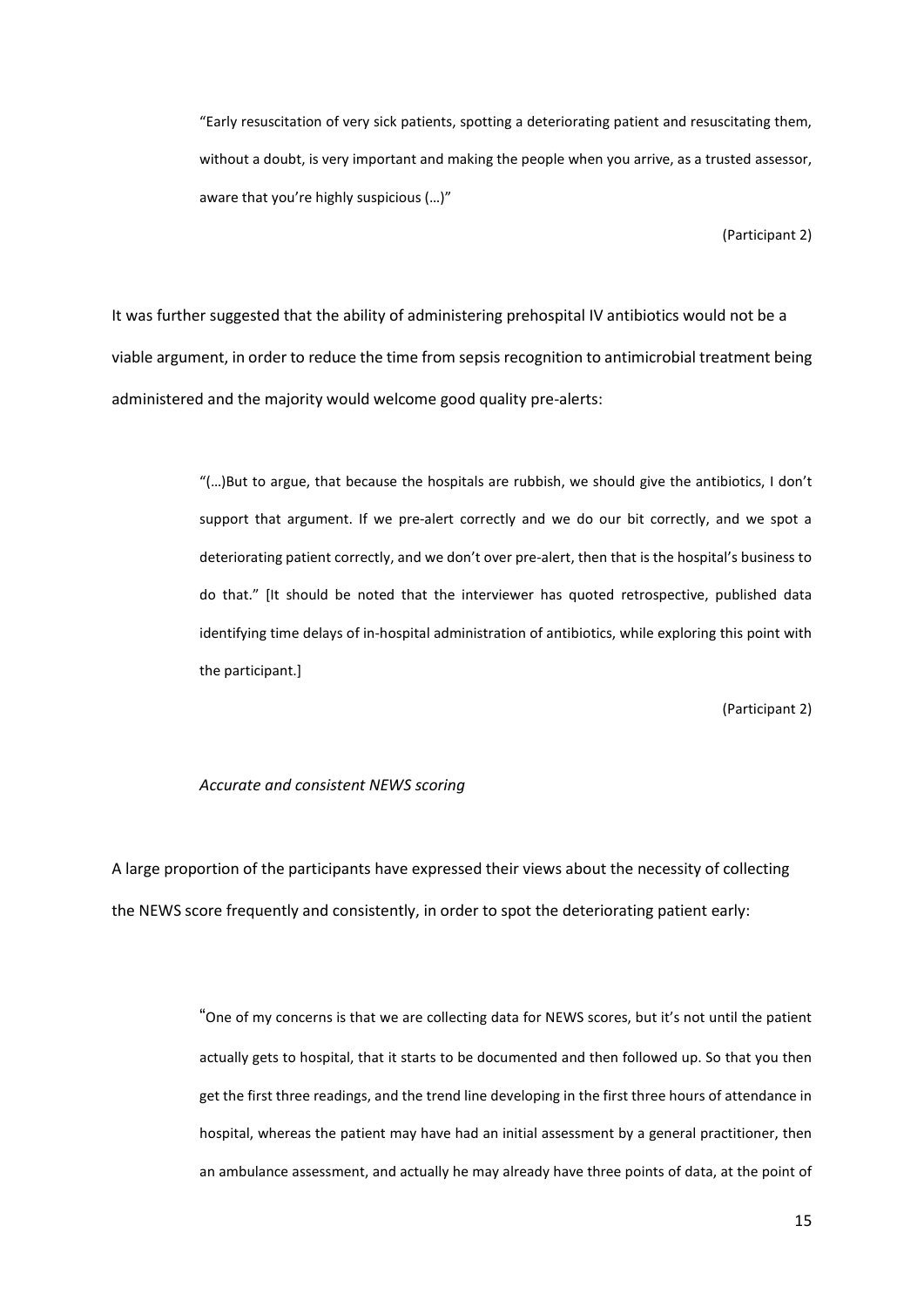"Early resuscitation of very sick patients, spotting a deteriorating patient and resuscitating them, without a doubt, is very important and making the people when you arrive, as a trusted assessor, aware that you're highly suspicious (…)"

(Participant 2)

It was further suggested that the ability of administering prehospital IV antibiotics would not be a viable argument, in order to reduce the time from sepsis recognition to antimicrobial treatment being administered and the majority would welcome good quality pre-alerts:

> "(…)But to argue, that because the hospitals are rubbish, we should give the antibiotics, I don't support that argument. If we pre-alert correctly and we do our bit correctly, and we spot a deteriorating patient correctly, and we don't over pre-alert, then that is the hospital's business to do that." [It should be noted that the interviewer has quoted retrospective, published data identifying time delays of in-hospital administration of antibiotics, while exploring this point with the participant.]

> > (Participant 2)

#### *Accurate and consistent NEWS scoring*

A large proportion of the participants have expressed their views about the necessity of collecting the NEWS score frequently and consistently, in order to spot the deteriorating patient early:

> "One of my concerns is that we are collecting data for NEWS scores, but it's not until the patient actually gets to hospital, that it starts to be documented and then followed up. So that you then get the first three readings, and the trend line developing in the first three hours of attendance in hospital, whereas the patient may have had an initial assessment by a general practitioner, then an ambulance assessment, and actually he may already have three points of data, at the point of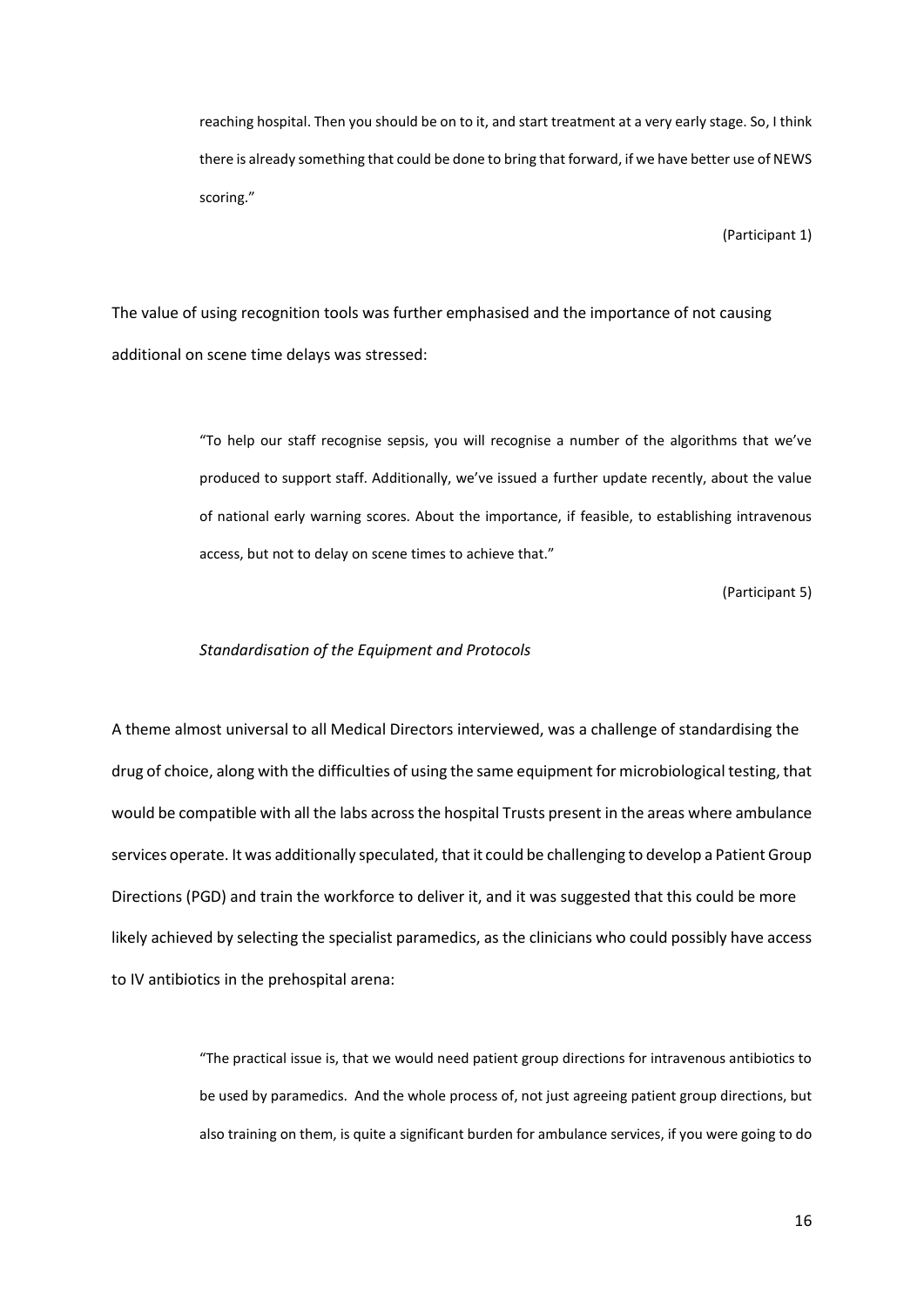reaching hospital. Then you should be on to it, and start treatment at a very early stage. So, I think there is already something that could be done to bring that forward, if we have better use of NEWS scoring."

(Participant 1)

The value of using recognition tools was further emphasised and the importance of not causing additional on scene time delays was stressed:

> "To help our staff recognise sepsis, you will recognise a number of the algorithms that we've produced to support staff. Additionally, we've issued a further update recently, about the value of national early warning scores. About the importance, if feasible, to establishing intravenous access, but not to delay on scene times to achieve that."

> > (Participant 5)

#### *Standardisation of the Equipment and Protocols*

A theme almost universal to all Medical Directors interviewed, was a challenge of standardising the drug of choice, along with the difficulties of using the same equipment for microbiological testing, that would be compatible with all the labs across the hospital Trusts present in the areas where ambulance services operate. It was additionally speculated, that it could be challenging to develop a Patient Group Directions (PGD) and train the workforce to deliver it, and it was suggested that this could be more likely achieved by selecting the specialist paramedics, as the clinicians who could possibly have access to IV antibiotics in the prehospital arena:

> "The practical issue is, that we would need patient group directions for intravenous antibiotics to be used by paramedics. And the whole process of, not just agreeing patient group directions, but also training on them, is quite a significant burden for ambulance services, if you were going to do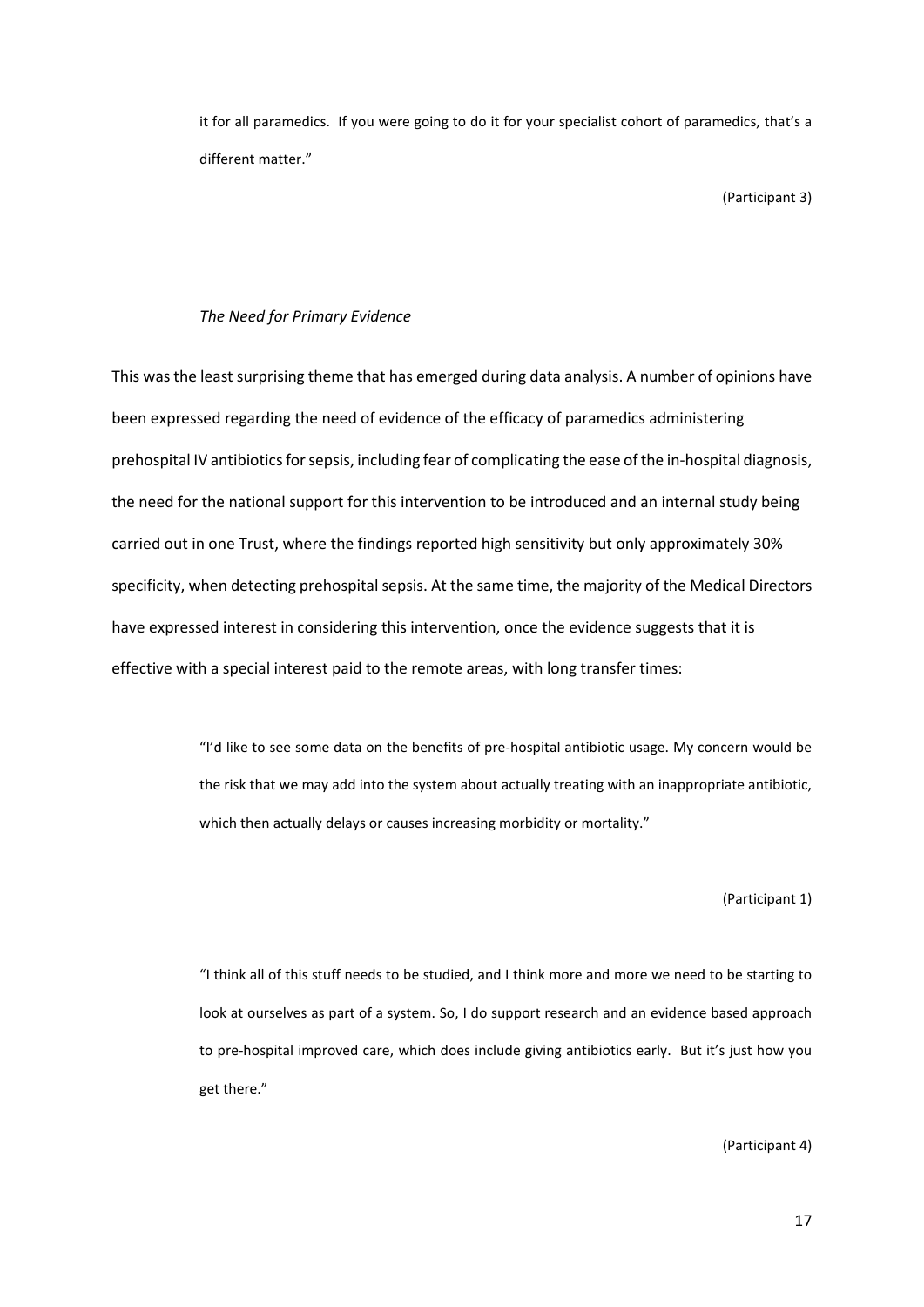it for all paramedics. If you were going to do it for your specialist cohort of paramedics, that's a different matter."

(Participant 3)

## *The Need for Primary Evidence*

This was the least surprising theme that has emerged during data analysis. A number of opinions have been expressed regarding the need of evidence of the efficacy of paramedics administering prehospital IV antibiotics for sepsis, including fear of complicating the ease of the in-hospital diagnosis, the need for the national support for this intervention to be introduced and an internal study being carried out in one Trust, where the findings reported high sensitivity but only approximately 30% specificity, when detecting prehospital sepsis. At the same time, the majority of the Medical Directors have expressed interest in considering this intervention, once the evidence suggests that it is effective with a special interest paid to the remote areas, with long transfer times:

> "I'd like to see some data on the benefits of pre-hospital antibiotic usage. My concern would be the risk that we may add into the system about actually treating with an inappropriate antibiotic, which then actually delays or causes increasing morbidity or mortality."

> > (Participant 1)

"I think all of this stuff needs to be studied, and I think more and more we need to be starting to look at ourselves as part of a system. So, I do support research and an evidence based approach to pre-hospital improved care, which does include giving antibiotics early. But it's just how you get there."

(Participant 4)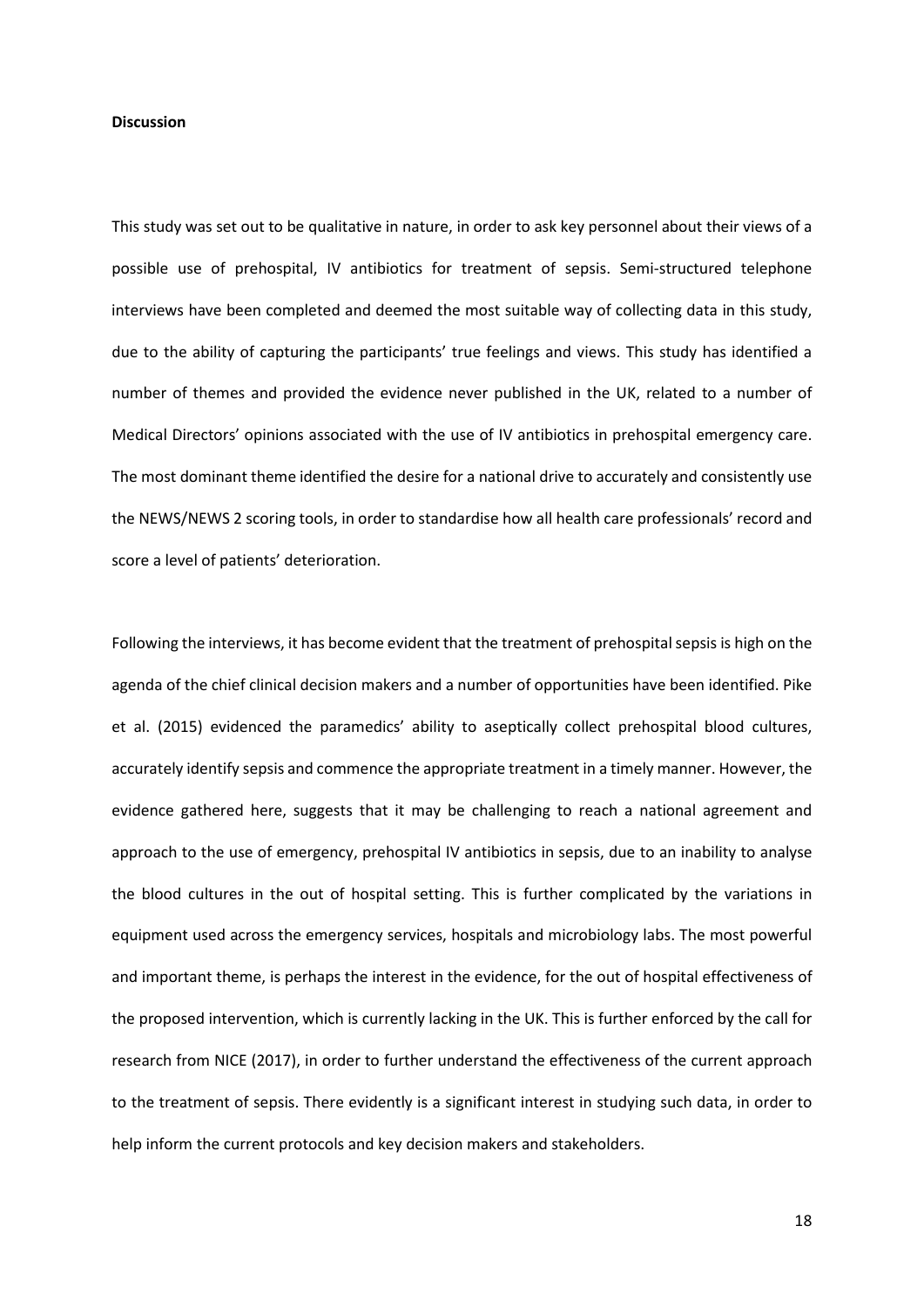## **Discussion**

This study was set out to be qualitative in nature, in order to ask key personnel about their views of a possible use of prehospital, IV antibiotics for treatment of sepsis. Semi-structured telephone interviews have been completed and deemed the most suitable way of collecting data in this study, due to the ability of capturing the participants' true feelings and views. This study has identified a number of themes and provided the evidence never published in the UK, related to a number of Medical Directors' opinions associated with the use of IV antibiotics in prehospital emergency care. The most dominant theme identified the desire for a national drive to accurately and consistently use the NEWS/NEWS 2 scoring tools, in order to standardise how all health care professionals' record and score a level of patients' deterioration.

Following the interviews, it has become evident that the treatment of prehospital sepsis is high on the agenda of the chief clinical decision makers and a number of opportunities have been identified. Pike et al. (2015) evidenced the paramedics' ability to aseptically collect prehospital blood cultures, accurately identify sepsis and commence the appropriate treatment in a timely manner. However, the evidence gathered here, suggests that it may be challenging to reach a national agreement and approach to the use of emergency, prehospital IV antibiotics in sepsis, due to an inability to analyse the blood cultures in the out of hospital setting. This is further complicated by the variations in equipment used across the emergency services, hospitals and microbiology labs. The most powerful and important theme, is perhaps the interest in the evidence, for the out of hospital effectiveness of the proposed intervention, which is currently lacking in the UK. This is further enforced by the call for research from NICE (2017), in order to further understand the effectiveness of the current approach to the treatment of sepsis. There evidently is a significant interest in studying such data, in order to help inform the current protocols and key decision makers and stakeholders.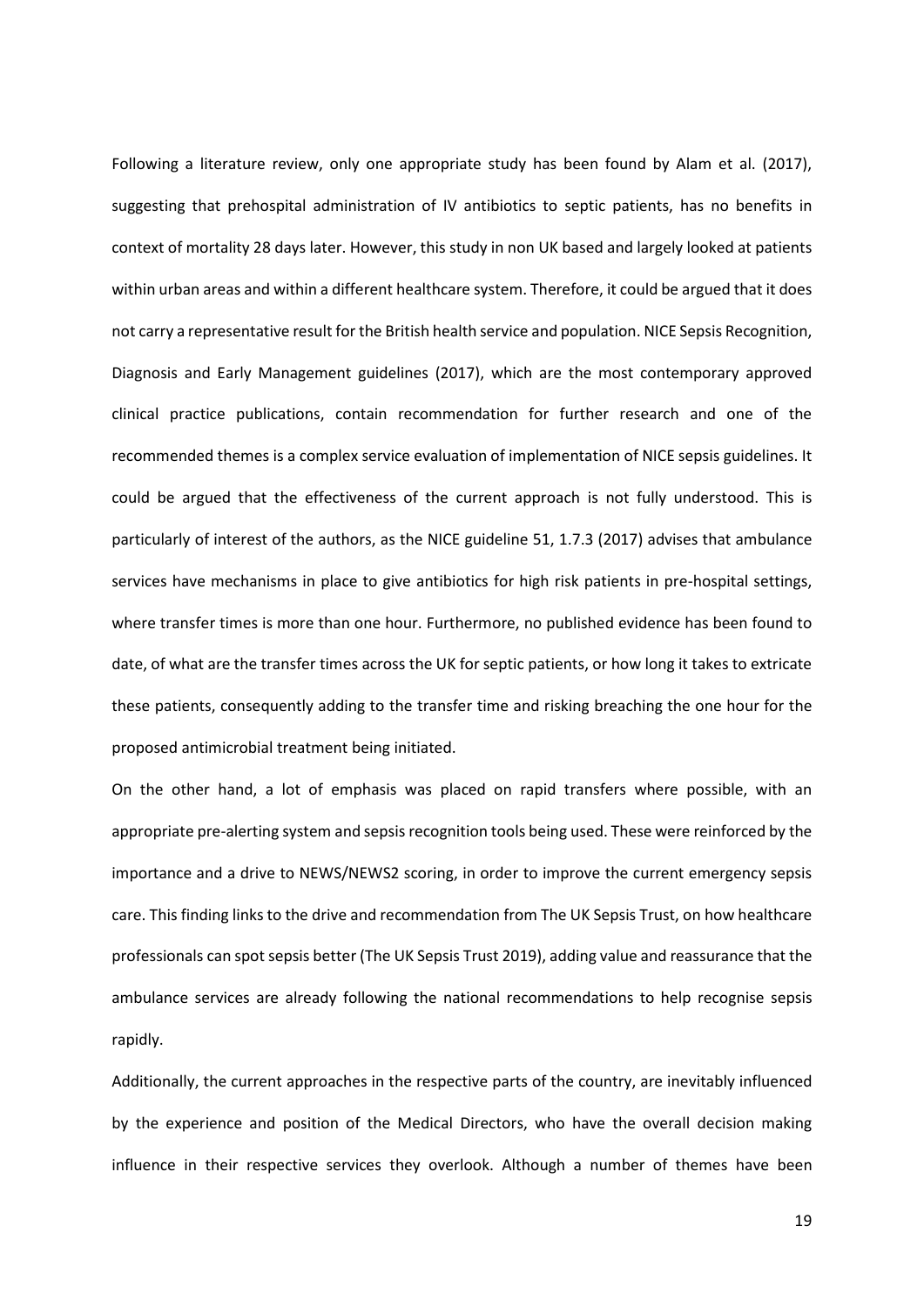Following a literature review, only one appropriate study has been found by Alam et al. (2017), suggesting that prehospital administration of IV antibiotics to septic patients, has no benefits in context of mortality 28 days later. However, this study in non UK based and largely looked at patients within urban areas and within a different healthcare system. Therefore, it could be argued that it does not carry a representative result for the British health service and population. NICE Sepsis Recognition, Diagnosis and Early Management guidelines (2017), which are the most contemporary approved clinical practice publications, contain recommendation for further research and one of the recommended themes is a complex service evaluation of implementation of NICE sepsis guidelines. It could be argued that the effectiveness of the current approach is not fully understood. This is particularly of interest of the authors, as the NICE guideline 51, 1.7.3 (2017) advises that ambulance services have mechanisms in place to give antibiotics for high risk patients in pre-hospital settings, where transfer times is more than one hour. Furthermore, no published evidence has been found to date, of what are the transfer times across the UK for septic patients, or how long it takes to extricate these patients, consequently adding to the transfer time and risking breaching the one hour for the proposed antimicrobial treatment being initiated.

On the other hand, a lot of emphasis was placed on rapid transfers where possible, with an appropriate pre-alerting system and sepsis recognition tools being used. These were reinforced by the importance and a drive to NEWS/NEWS2 scoring, in order to improve the current emergency sepsis care. This finding links to the drive and recommendation from The UK Sepsis Trust, on how healthcare professionals can spot sepsis better (The UK Sepsis Trust 2019), adding value and reassurance that the ambulance services are already following the national recommendations to help recognise sepsis rapidly.

Additionally, the current approaches in the respective parts of the country, are inevitably influenced by the experience and position of the Medical Directors, who have the overall decision making influence in their respective services they overlook. Although a number of themes have been

19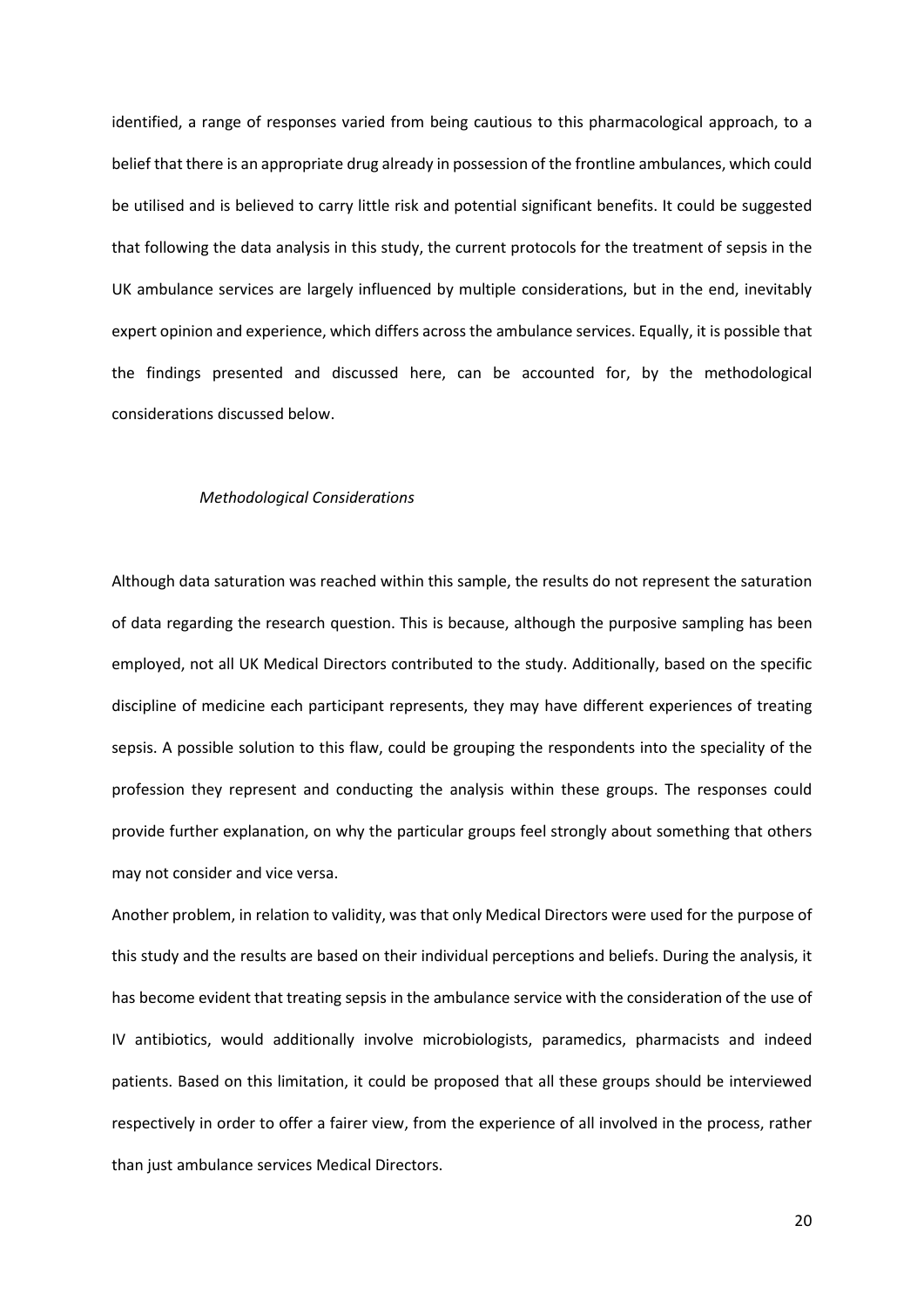identified, a range of responses varied from being cautious to this pharmacological approach, to a belief that there is an appropriate drug already in possession of the frontline ambulances, which could be utilised and is believed to carry little risk and potential significant benefits. It could be suggested that following the data analysis in this study, the current protocols for the treatment of sepsis in the UK ambulance services are largely influenced by multiple considerations, but in the end, inevitably expert opinion and experience, which differs across the ambulance services. Equally, it is possible that the findings presented and discussed here, can be accounted for, by the methodological considerations discussed below.

#### *Methodological Considerations*

Although data saturation was reached within this sample, the results do not represent the saturation of data regarding the research question. This is because, although the purposive sampling has been employed, not all UK Medical Directors contributed to the study. Additionally, based on the specific discipline of medicine each participant represents, they may have different experiences of treating sepsis. A possible solution to this flaw, could be grouping the respondents into the speciality of the profession they represent and conducting the analysis within these groups. The responses could provide further explanation, on why the particular groups feel strongly about something that others may not consider and vice versa.

Another problem, in relation to validity, was that only Medical Directors were used for the purpose of this study and the results are based on their individual perceptions and beliefs. During the analysis, it has become evident that treating sepsis in the ambulance service with the consideration of the use of IV antibiotics, would additionally involve microbiologists, paramedics, pharmacists and indeed patients. Based on this limitation, it could be proposed that all these groups should be interviewed respectively in order to offer a fairer view, from the experience of all involved in the process, rather than just ambulance services Medical Directors.

20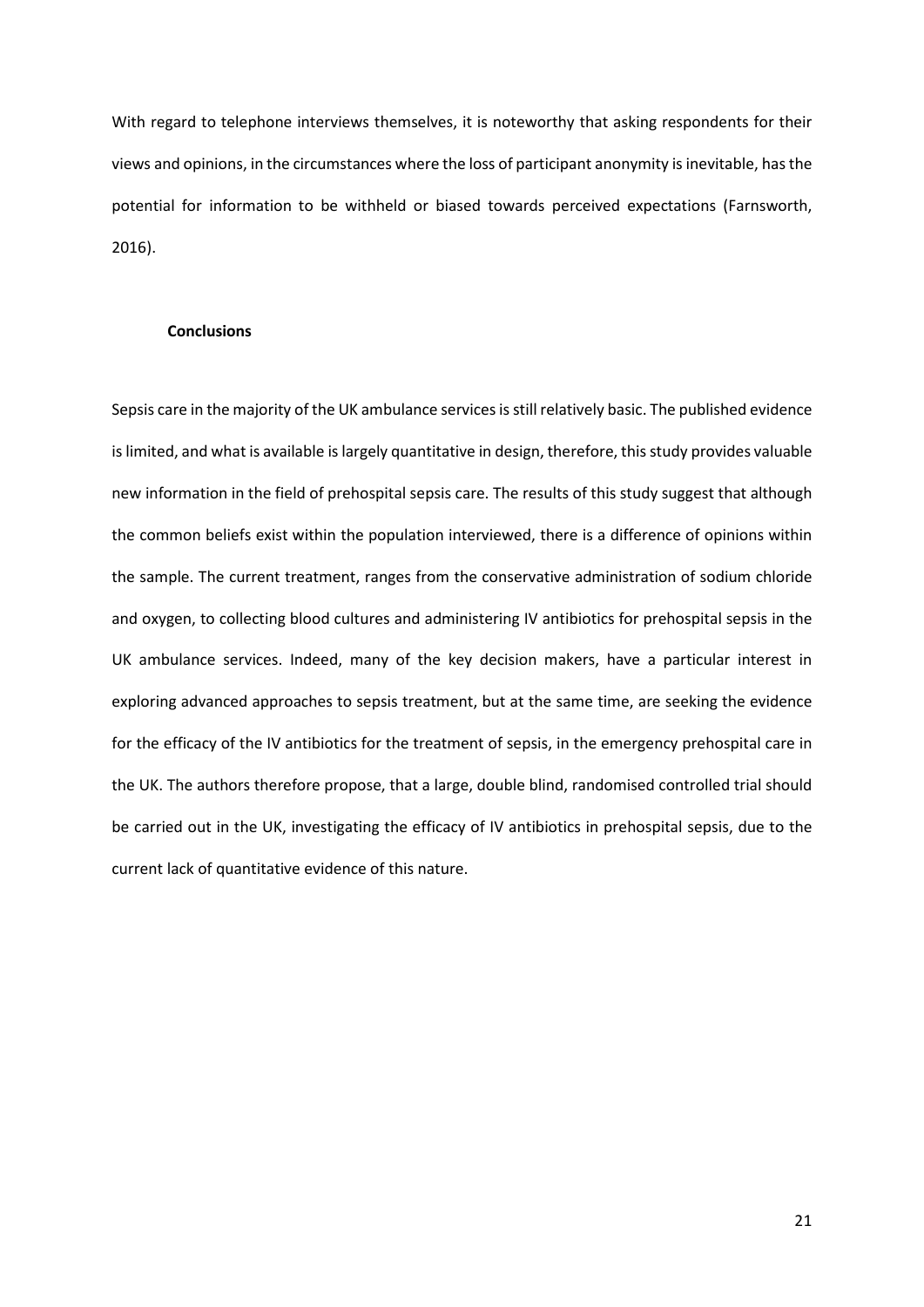With regard to telephone interviews themselves, it is noteworthy that asking respondents for their views and opinions, in the circumstances where the loss of participant anonymity is inevitable, has the potential for information to be withheld or biased towards perceived expectations (Farnsworth, 2016).

## **Conclusions**

Sepsis care in the majority of the UK ambulance services is still relatively basic. The published evidence is limited, and what is available is largely quantitative in design, therefore, this study provides valuable new information in the field of prehospital sepsis care. The results of this study suggest that although the common beliefs exist within the population interviewed, there is a difference of opinions within the sample. The current treatment, ranges from the conservative administration of sodium chloride and oxygen, to collecting blood cultures and administering IV antibiotics for prehospital sepsis in the UK ambulance services. Indeed, many of the key decision makers, have a particular interest in exploring advanced approaches to sepsis treatment, but at the same time, are seeking the evidence for the efficacy of the IV antibiotics for the treatment of sepsis, in the emergency prehospital care in the UK. The authors therefore propose, that a large, double blind, randomised controlled trial should be carried out in the UK, investigating the efficacy of IV antibiotics in prehospital sepsis, due to the current lack of quantitative evidence of this nature.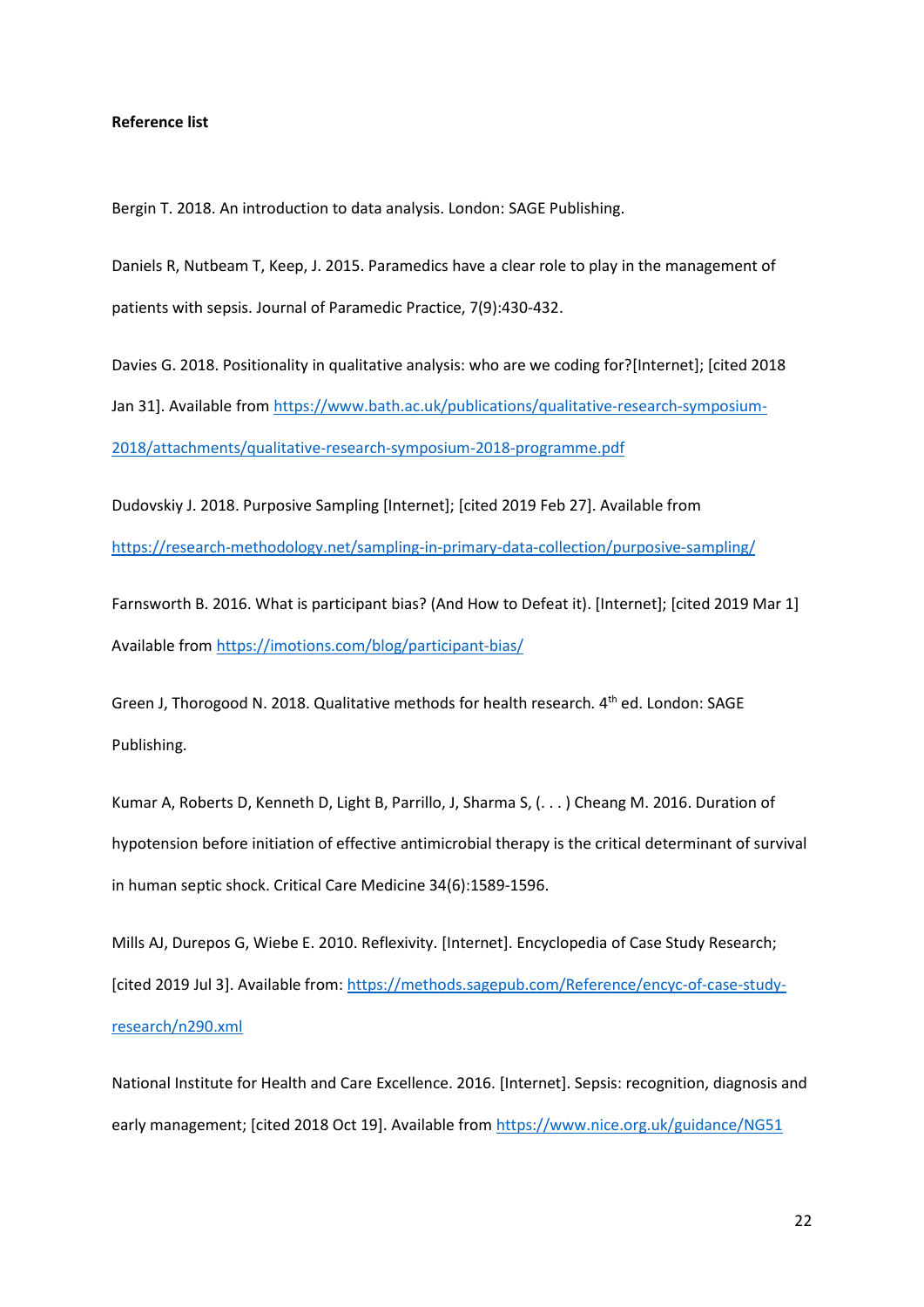#### **Reference list**

Bergin T. 2018. An introduction to data analysis. London: SAGE Publishing.

Daniels R, Nutbeam T, Keep, J. 2015. Paramedics have a clear role to play in the management of patients with sepsis. Journal of Paramedic Practice, 7(9):430-432.

Davies G. 2018. Positionality in qualitative analysis: who are we coding for?[Internet]; [cited 2018 Jan 31]. Available from [https://www.bath.ac.uk/publications/qualitative-research-symposium-](https://www.bath.ac.uk/publications/qualitative-research-symposium-2018/attachments/qualitative-research-symposium-2018-programme.pdf)[2018/attachments/qualitative-research-symposium-2018-programme.pdf](https://www.bath.ac.uk/publications/qualitative-research-symposium-2018/attachments/qualitative-research-symposium-2018-programme.pdf)

Dudovskiy J. 2018. Purposive Sampling [Internet]; [cited 2019 Feb 27]. Available from <https://research-methodology.net/sampling-in-primary-data-collection/purposive-sampling/>

Farnsworth B. 2016. What is participant bias? (And How to Defeat it). [Internet]; [cited 2019 Mar 1] Available from<https://imotions.com/blog/participant-bias/>

Green J, Thorogood N. 2018. Qualitative methods for health research*.* 4th ed. London: SAGE Publishing.

Kumar A, Roberts D, Kenneth D, Light B, Parrillo, J, Sharma S, (. . . ) Cheang M. 2016. Duration of hypotension before initiation of effective antimicrobial therapy is the critical determinant of survival in human septic shock. Critical Care Medicine 34(6):1589-1596.

Mills AJ, Durepos G, Wiebe E. 2010. Reflexivity. [Internet]. Encyclopedia of Case Study Research; [cited 2019 Jul 3]. Available from[: https://methods.sagepub.com/Reference/encyc-of-case-study](https://methods.sagepub.com/Reference/encyc-of-case-study-research/n290.xml)[research/n290.xml](https://methods.sagepub.com/Reference/encyc-of-case-study-research/n290.xml)

National Institute for Health and Care Excellence. 2016. [Internet]. Sepsis: recognition, diagnosis and early management; [cited 2018 Oct 19]. Available from <https://www.nice.org.uk/guidance/NG51>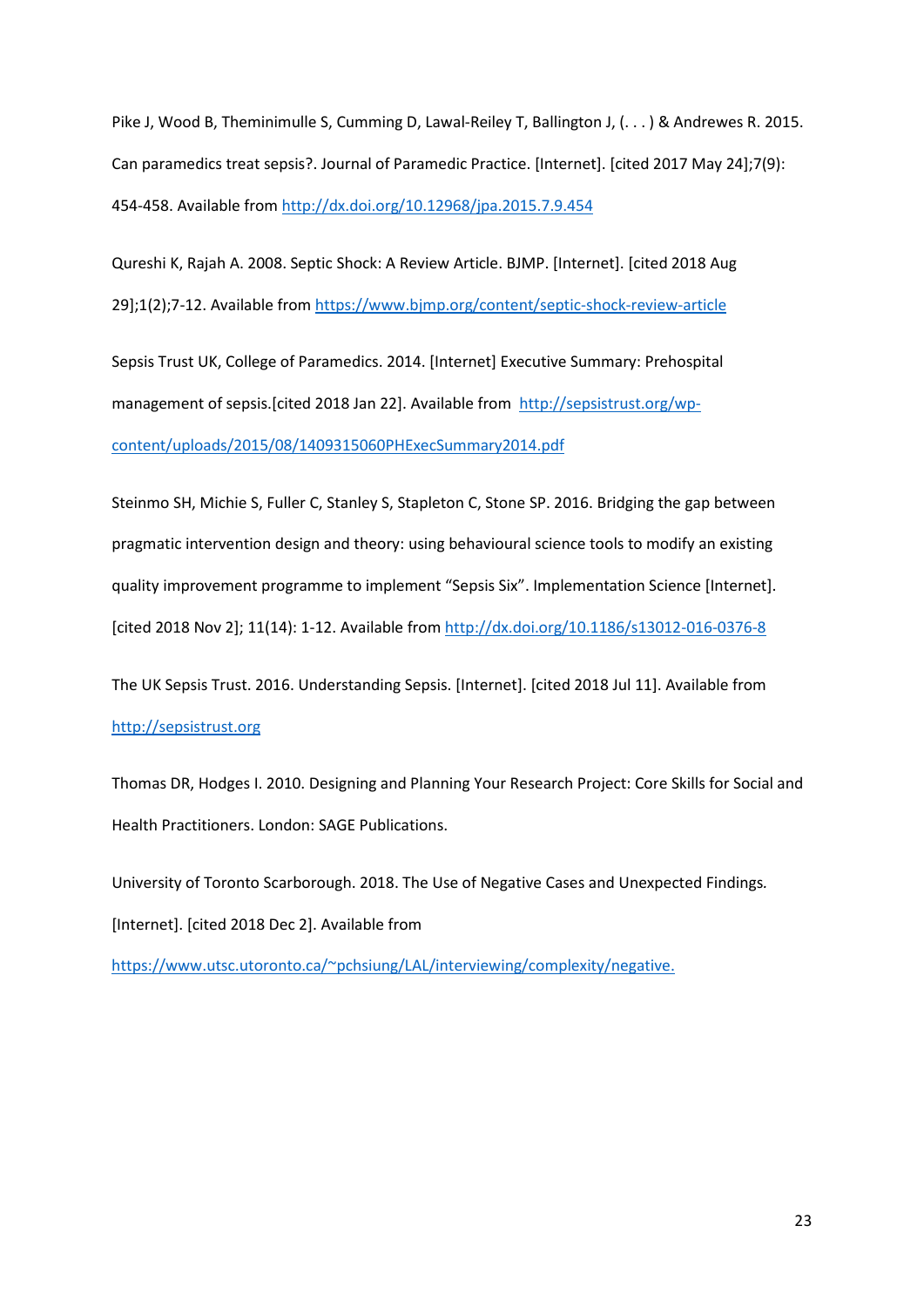Pike J, Wood B, Theminimulle S, Cumming D, Lawal-Reiley T, Ballington J, (. . . ) & Andrewes R. 2015. Can paramedics treat sepsis?. Journal of Paramedic Practice. [Internet]. [cited 2017 May 24];7(9): 454-458. Available from <http://dx.doi.org/10.12968/jpa.2015.7.9.454>

Qureshi K, Rajah A. 2008. Septic Shock: A Review Article. BJMP. [Internet]. [cited 2018 Aug 29];1(2);7-12. Available from<https://www.bjmp.org/content/septic-shock-review-article>

Sepsis Trust UK, College of Paramedics. 2014. [Internet] Executive Summary: Prehospital management of sepsis.[cited 2018 Jan 22]. Available from [http://sepsistrust.org/wp](http://sepsistrust.org/wp-content/uploads/2015/08/1409315060PHExecSummary2014.pdf)[content/uploads/2015/08/1409315060PHExecSummary2014.pdf](http://sepsistrust.org/wp-content/uploads/2015/08/1409315060PHExecSummary2014.pdf)

Steinmo SH, Michie S, Fuller C, Stanley S, Stapleton C, Stone SP. 2016. Bridging the gap between pragmatic intervention design and theory: using behavioural science tools to modify an existing quality improvement programme to implement "Sepsis Six". Implementation Science [Internet]. [cited 2018 Nov 2]; 11(14): 1-12. Available from <http://dx.doi.org/10.1186/s13012-016-0376-8>

The UK Sepsis Trust. 2016. Understanding Sepsis. [Internet]. [cited 2018 Jul 11]. Available from [http://sepsistrust.org](http://sepsistrust.org/)

Thomas DR, Hodges I. 2010. Designing and Planning Your Research Project: Core Skills for Social and Health Practitioners. London: SAGE Publications.

University of Toronto Scarborough. 2018. The Use of Negative Cases and Unexpected Findings*.* [Internet]. [cited 2018 Dec 2]. Available from

[https://www.utsc.utoronto.ca/~pchsiung/LAL/interviewing/complexity/negative.](https://www.utsc.utoronto.ca/%7Epchsiung/LAL/interviewing/complexity/negative)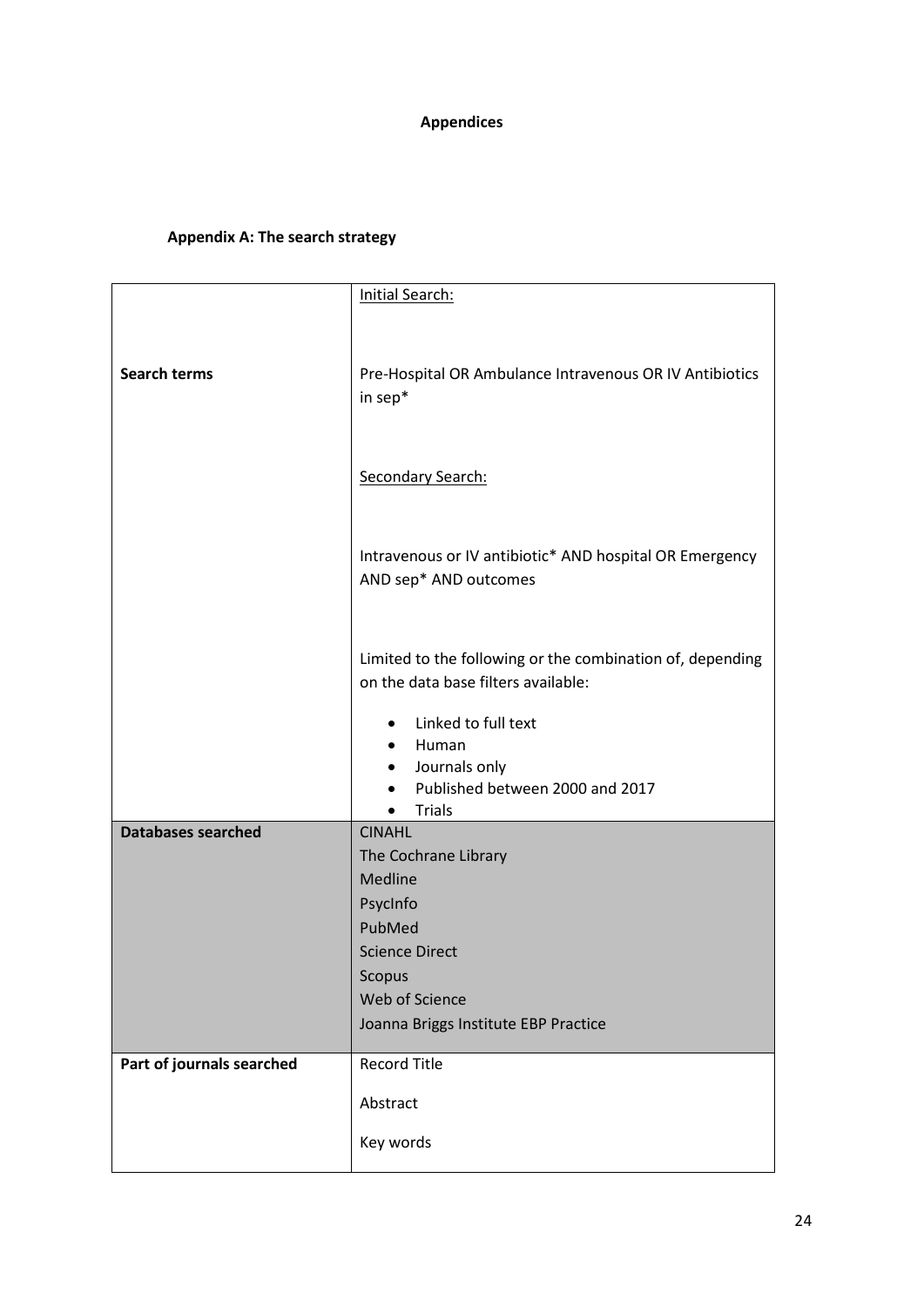# **Appendices**

# **Appendix A: The search strategy**

|                           | <b>Initial Search:</b>                                                                           |  |  |  |  |
|---------------------------|--------------------------------------------------------------------------------------------------|--|--|--|--|
|                           |                                                                                                  |  |  |  |  |
|                           |                                                                                                  |  |  |  |  |
| <b>Search terms</b>       | Pre-Hospital OR Ambulance Intravenous OR IV Antibiotics<br>in sep*                               |  |  |  |  |
|                           | Secondary Search:                                                                                |  |  |  |  |
|                           | Intravenous or IV antibiotic* AND hospital OR Emergency<br>AND sep* AND outcomes                 |  |  |  |  |
|                           | Limited to the following or the combination of, depending<br>on the data base filters available: |  |  |  |  |
|                           | Linked to full text<br>Human                                                                     |  |  |  |  |
|                           | Journals only<br>$\bullet$<br>Published between 2000 and 2017<br><b>Trials</b>                   |  |  |  |  |
| <b>Databases searched</b> | <b>CINAHL</b>                                                                                    |  |  |  |  |
|                           | The Cochrane Library                                                                             |  |  |  |  |
|                           | Medline                                                                                          |  |  |  |  |
|                           | PsycInfo                                                                                         |  |  |  |  |
|                           | PubMed                                                                                           |  |  |  |  |
|                           | <b>Science Direct</b>                                                                            |  |  |  |  |
|                           | Scopus                                                                                           |  |  |  |  |
|                           | Web of Science                                                                                   |  |  |  |  |
|                           | Joanna Briggs Institute EBP Practice                                                             |  |  |  |  |
| Part of journals searched | <b>Record Title</b>                                                                              |  |  |  |  |
|                           | Abstract                                                                                         |  |  |  |  |
|                           | Key words                                                                                        |  |  |  |  |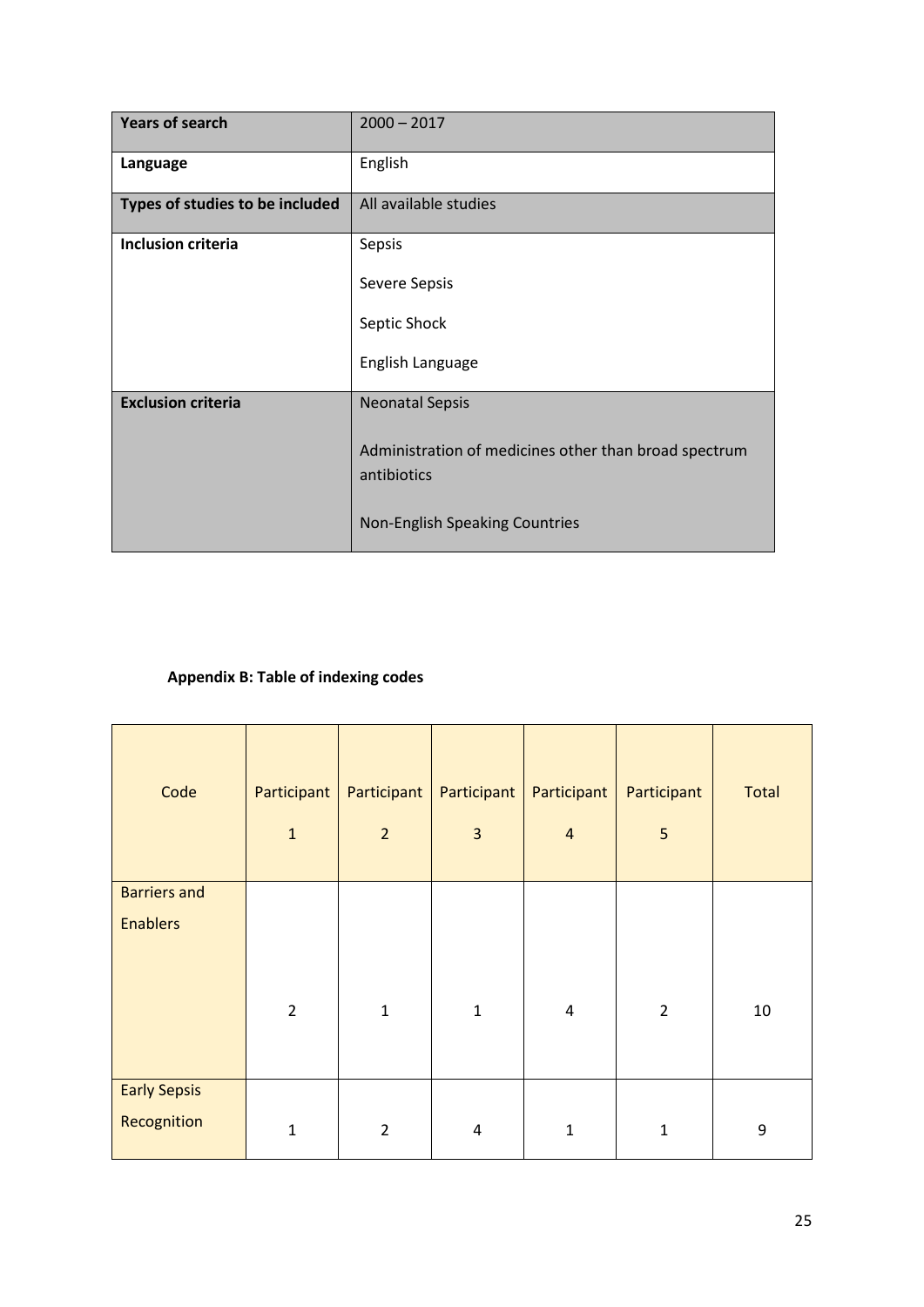| <b>Years of search</b>          | $2000 - 2017$                                                        |
|---------------------------------|----------------------------------------------------------------------|
| Language                        | English                                                              |
| Types of studies to be included | All available studies                                                |
| <b>Inclusion criteria</b>       | Sepsis                                                               |
|                                 | Severe Sepsis                                                        |
|                                 | Septic Shock                                                         |
|                                 | English Language                                                     |
| <b>Exclusion criteria</b>       | <b>Neonatal Sepsis</b>                                               |
|                                 | Administration of medicines other than broad spectrum<br>antibiotics |
|                                 | Non-English Speaking Countries                                       |

# **Appendix B: Table of indexing codes**

| Code                | Participant<br>$\mathbf 1$ | Participant<br>$\overline{2}$ | Participant<br>$\overline{\mathbf{3}}$ | Participant<br>$\overline{4}$ | Participant<br>5 | <b>Total</b>     |
|---------------------|----------------------------|-------------------------------|----------------------------------------|-------------------------------|------------------|------------------|
| <b>Barriers and</b> |                            |                               |                                        |                               |                  |                  |
| <b>Enablers</b>     |                            |                               |                                        |                               |                  |                  |
|                     |                            |                               |                                        |                               |                  |                  |
|                     | $\overline{2}$             | $\mathbf{1}$                  | $\mathbf{1}$                           | $\overline{\mathbf{4}}$       | $\overline{2}$   | 10               |
|                     |                            |                               |                                        |                               |                  |                  |
| <b>Early Sepsis</b> |                            |                               |                                        |                               |                  |                  |
| Recognition         | $\mathbf 1$                | $\overline{2}$                | $\pmb{4}$                              | $\mathbf 1$                   | $\mathbf 1$      | $\boldsymbol{9}$ |